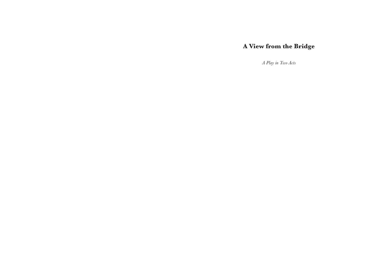*A Play in Two Acts*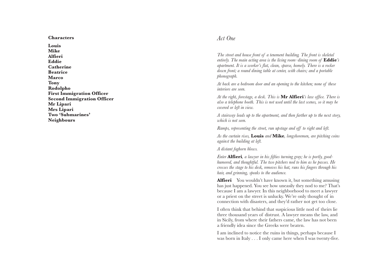#### **Characters**

**Louis Mike Alfieri Eddie Catherine Beatrice Marco Tony Rodolpho First Immigration Officer Second Immigration Officer Mr Lipari Mrs Lipari Two 'Submarines' Neighbours** 

## *Act One*

*The street and house front of a tenement building. The front is skeletal entirely. The main acting area is the living room–dining room of* **Eddie***'s apartment. It is a worker's flat, clean, sparse, homely. There is a rocker down front; a round dining table at center, with chairs; and a portable phonograph.* 

*At back are a bedroom door and an opening to the kitchen; none of these interiors are seen.* 

*At the right, forestage, a desk. This is* **Mr Alfieri***'s law office. There is also a telephone booth. This is not used until the last scenes, so it may be covered or left in view.* 

*A stairway leads up to the apartment, and then farther up to the next story, which is not seen.* 

*Ramps, representing the street, run upstage and off to right and left.* 

*As the curtain rises,* **Louis** *and* **Mike***, longshoremen, are pitching coins against the building at left.* 

*A distant foghorn blows.* 

*Enter* **Alfieri***, a lawyer in his fifties turning gray; he is portly, goodhumored, and thoughtful. The two pitchers nod to him as he passes. He crosses the stage to his desk, removes his hat, runs his fingers through his hair, and grinning, speaks to the audience.* 

**Alfieri** You wouldn't have known it, but something amusing has just happened. You see how uneasily they nod to me? That's because I am a lawyer. In this neighborhood to meet a lawyer or a priest on the street is unlucky. We're only thought of in connection with disasters, and they'd rather not get too close.

I often think that behind that suspicious little nod of theirs lie three thousand years of distrust. A lawyer means the law, and in Sicily, from where their fathers came, the law has not been <sup>a</sup> friendly idea since the Greeks were beaten.

I am inclined to notice the ruins in things, perhaps because I was born in Italy . . . I only came here when I was twenty-five.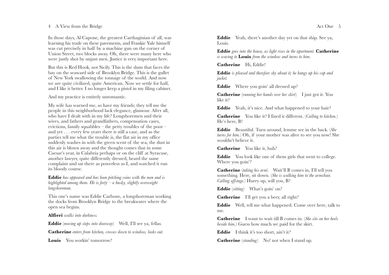In those days, Al Capone, the greatest Carthaginian of all, was learning his trade on these pavements, and Frankie Yale himself was cut precisely in half by a machine gun on the corner of Union Street, two blocks away. Oh, there were many here who were justly shot by unjust men. Justice is very important here.

But this is Red Hook, not Sicily. This is the slum that faces the bay on the seaward side of Brooklyn Bridge. This is the gullet of New York swallowing the tonnage of the world. And now we are quite civilized, quite American. Now we settle for half, and I like it better. I no longer keep a pistol in my filing cabinet.

And my practice is entirely unromantic.

My wife has warned me, so have my friends; they tell me the people in this neighborhood lack elegance, glamour. After all, who have I dealt with in my life? Longshoremen and their wives, and fathers and grandfathers, compensation cases, evictions, family squabbles – the petty troubles of the poor – and yet . . . every few years there is still a case, and as the parties tell me what the trouble is, the flat air in my office suddenly washes in with the green scent of the sea, the dust in this air is blown away and the thought comes that in some Caesar's year, in Calabria perhaps or on the cliff at Syracuse, another lawyer, quite differently dressed, heard the same complaint and sat there as powerless as I, and watched it run its bloody course.

**Eddie** *has appeared and has been pitching coins with the men and is highlighted among them. He is forty* – *a husky, slightly overweight longshoreman.* 

This one's name was Eddie Carbone, a longshoreman working the docks from Brooklyn Bridge to the breakwater where the open sea begins.

**Alfieri** *walks into darkness.* 

**Eddie** (*moving up steps into doorway*) Well, I'll see ya, fellas.

**Catherine** *enters from kitchen, crosses down to window, looks out.* 

**Louis** You workin' tomorrow?

**Eddie** Yeah, there's another day yet on that ship. See ya, Louis.

**Eddie** *goes into the house, as light rises in the apartment.* **Catherine** *is waving to* **Louis** *from the window and turns to him.* 

**Catherine** Hi, Eddie!

**Eddie** *is pleased and therefore shy about it; he hangs up his cap and jacket.* 

**Eddie** Where you goin' all dressed up?

**Catherine** (*running her hands over her skirt*) I just got it. You like it?

**Eddie** Yeah, it's nice. And what happened to your hair?

**Catherine** You like it? I fixed it different. (*Calling to kitchen.*) He's here, B!

**Eddie** Beautiful. Turn around, lemme see in the back. (*She turns for him.*) Oh, if your mother was alive to see you now! She wouldn't believe it.

**Catherine** You like it, huh?

**Eddie** You look like one of them girls that went to college. Where you goin?

**Catherine** (*taking his arm*) Wait'll B comes in, I'll tell you something. Here, sit down. (*She is walking him to the armchair. Calling offstage.*) Hurry up, will you, B?

**Eddie** (*sitting*) What's goin' on?

**Catherine** I'll get you a beer, all right?

**Eddie** Well, tell me what happened. Come over here, talk to me.

**Catherine** I want to wait till B comes in. (*She sits on her heels beside him.*) Guess how much we paid for the skirt.

**Eddie** I think it's too short, ain't it?

**Catherine** (*standing*) No! not when I stand up.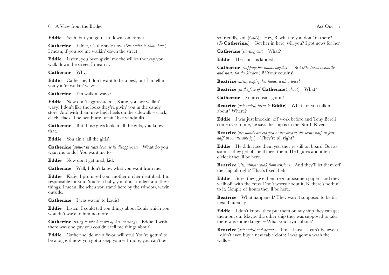6 A View from the Bridge Act One 7

**Eddie** Yeah, but you gotta sit down sometimes.

**Catherine** Eddie, it's the style now. (*She walks to show him.*) I mean, if you see me walkin' down the street –

**Eddie** Listen, you been givin' me the willies the way you walk down the street, I mean it.

**Catherine** Why?

**Eddie** Catherine, I don't want to be a pest, but I'm tellin' you you're walkin' wavy.

**Catherine** I'm walkin' wavy?

**Eddie** Now don't aggravate me, Katie, you are walkin' wavy! I don't like the looks they're givin' you in the candy store. And with them new high heels on the sidewalk – clack, clack, clack. The heads are turnin' like windmills.

**Catherine** But those guys look at all the girls, you know that.

**Eddie** You ain't 'all the girls'.

**Catherine** (*almost in tears because he disapproves*) What do you want me to do? You want me to –

**Eddie** Now don't get mad, kid.

**Catherine** Well, I don't know what you want from me.

**Eddie** Katie, I promised your mother on her deathbed. I'm responsible for you. You're a baby, you don't understand these things. I mean like when you stand here by the window, wavin' outside.

**Catherine** I was wavin' to Louis!

**Eddie** Listen, I could tell you things about Louis which you wouldn't wave to him no more.

**Catherine** (*trying to joke him out of his warning*) Eddie, I wish there was one guy you couldn't tell me things about!

**Eddie** Catherine, do me a favor, will you? You're gettin' to be a big girl now, you gotta keep yourself more, you can't be

so friendly, kid. (*Calls*) Hey, B, what're you doin' in there? (*To* **Catherine***.*) Get her in here, will you? I got news for her.

**Catherine** (*starting out*) What?

**Eddie** Her cousins landed.

**Catherine** (*clapping her hands together*) No! (*She turns instantly and starts for the kitchen.*) B! Your cousins!

**Beatrice** *enters, wiping her hands with a towel.* 

**Beatrice** (*in the face of* **Catherine***'s shout*) What?

**Catherine** Your cousins got in!

**Beatrice** (*astounded, turns to* **Eddie**) What are you talkin' about? Where?

**Eddie** I was just knockin' off work before and Tony Bereli come over to me; he says the ship is in the North River.

**Beatrice** (*her hands are clasped at her breast; she seems half in fear, half in unutterable joy*) They're all right?

**Eddie** He didn't see them yet, they're still on board. But as soon as they get off he'll meet them. He figures about ten <sup>o</sup>'clock they'll be here.

**Beatrice** (*sits, almost weak from tension*) And they'll let them off the ship all right? That's fixed, heh?

**Eddie** Sure, they give them regular seamen papers and they walk off with the crew. Don't worry about it, B, there's nothin' to it. Couple of hours they'll be here.

**Beatrice** What happened? They wasn't supposed to be till next Thursday.

**Eddie** I don't know; they put them on any ship they can get them out on. Maybe the other ship they was supposed to take there was some danger – What you cryin' about?

**Beatrice** (*astounded and afraid*) I'm – I just – I can't believe it! I didn't even buy a new table cloth; I was gonna wash the walls –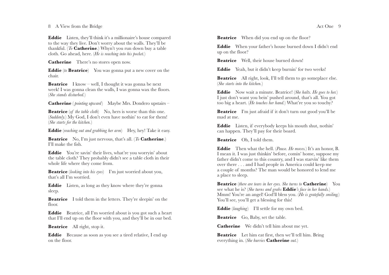**Eddie** Listen, they'll think it's a millionaire's house compared to the way they live. Don't worry about the walls. They'll be thankful. (*To* **Catherine***.*) Whyn't you run down buy a table cloth. Go ahead, here. (*He is reaching into his pocket.*)

**Catherine** There's no stores open now.

**Eddie** (*to* **Beatrice**) You was gonna put a new cover on the chair.

**Beatrice** I know – well, I thought it was gonna be next week! I was gonna clean the walls, I was gonna wax the floors. (*She stands disturbed.*)

**Catherine** (*pointing upward*) Maybe Mrs. Dondero upstairs –

**Beatrice** (*of the table cloth*) No, hers is worse than this one. (*Suddenly.*) My God, I don't even have nothin' to eat for them! (*She starts for the kitchen.*)

**Eddie** (*reaching out and grabbing her arm*) Hey, hey! Take it easy.

**Beatrice** No, I'm just nervous, that's all. (*To* **Catherine***.*) I'll make the fish.

**Eddie** You're savin' their lives, what're you worryin' about the table cloth? They probably didn't see a table cloth in their whole life where they come from.

**Beatrice** (*looking into his eyes*) I'm just worried about you, that's all I'm worried.

**Eddie** Listen, as long as they know where they're gonna sleep.

**Beatrice** I told them in the letters. They're sleepin' on the floor.

**Eddie** Beatrice, all I'm worried about is you got such a heart that I'll end up on the floor with you, and they'll be in our bed.

**Beatrice** All right, stop it.

**Eddie** Because as soon as you see a tired relative, I end up on the floor.

**Beatrice** When did you end up on the floor?

**Eddie** When your father's house burned down I didn't end up on the floor?

**Beatrice** Well, their house burned down!

**Eddie** Yeah, but it didn't keep burnin' for two weeks!

**Beatrice** All right, look, I'll tell them to go someplace else. (*She starts into the kitchen.*)

**Eddie** Now wait a minute. Beatrice! (*She halts. He goes to her.*) I just don't want you bein' pushed around, that's all. You got too big a heart. (*He touches her hand.*) What're you so touchy?

**Beatrice** I'm just afraid if it don't turn out good you'll be mad at me.

**Eddie** Listen, if everybody keeps his mouth shut, nothin' can happen. They'll pay for their board.

**Beatrice** Oh, I told them.

**Eddie** Then what the hell. (*Pause. He moves.*) It's an honor, B. I mean it. I was just thinkin' before, comin' home, suppose my father didn't come to this country, and I was starvin' like them over there . . . and I had people in America could keep me <sup>a</sup> couple of months? The man would be honored to lend me <sup>a</sup> place to sleep.

**Beatrice** (*there are tears in her eyes. She turns to* **Catherine**) You see what he is? (*She turns and grabs* **Eddie***'s face in her hands.*) Mmm! You're an angel! God'll bless you. (*He is gratefully smiling.*) You'll see, you'll get a blessing for this!

**Eddie** (*laughing*) I'll settle for my own bed.

**Beatrice** Go, Baby, set the table.

**Catherine** We didn't tell him about me yet.

**Beatrice** Let him eat first, then we'll tell him. Bring everything in. (*She hurries* **Catherine** *out.*)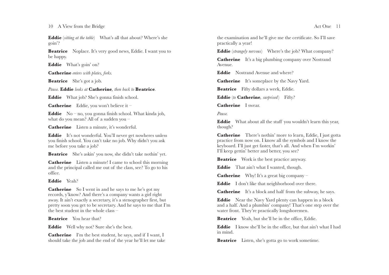**Eddie** (*sitting at the table*) What's all that about? Where's she goin'?

**Beatrice** Noplace. It's very good news, Eddie. I want you to be happy.

**Eddie** What's goin' on?

**Catherine** *enters with plates, forks.* 

**Beatrice** She's got a job.

*Pause.* **Eddie** *looks at* **Catherine***, then back to* **Beatrice***.* 

**Eddie** What job? She's gonna finish school.

**Catherine** Eddie, you won't believe it –

**Eddie** No – no, you gonna finish school. What kinda job, what do you mean? All of a sudden you –

**Catherine** Listen a minute, it's wonderful.

**Eddie** It's not wonderful. You'll never get nowheres unless you finish school. You can't take no job. Why didn't you ask me before you take a job?

**Beatrice** She's askin' you now, she didn't take nothin' yet.

**Catherine** Listen a minute! I came to school this morning and the principal called me out of the class, see? To go to his office.

**Eddie** Yeah?

**Catherine** So I went in and he says to me he's got my records, y'know? And there's a company wants a girl right away. It ain't exactly a secretary, it's a stenographer first, but pretty soon you get to be secretary. And he says to me that I'm the best student in the whole class –

**Beatrice** You hear that?

**Eddie** Well why not? Sure she's the best.

**Catherine** I'm the best student, he says, and if I want, I should take the job and the end of the year he'll let me take

the examination and he'll give me the certificate. So I'll save practically a year!

**Eddie** (*strangely nervous*) Where's the job? What company?

**Catherine** It's a big plumbing company over Nostrand Avenue.

**Eddie** Nostrand Avenue and where?

**Catherine** It's someplace by the Navy Yard.

**Beatrice** Fifty dollars a week, Eddie.

**Eddie** (*to* **Catherine***, surprised*) Fifty?

**Catherine** I swear.

*Pause.* 

**Eddie** What about all the stuff you wouldn't learn this year, though?

**Catherine** There's nothin' more to learn, Eddie, I just gotta practice from now on. I know all the symbols and I know the keyboard. I'll just get faster, that's all. And when I'm workin' I'll keep gettin' better and better, you see?

**Beatrice** Work is the best practice anyway.

**Eddie** That ain't what I wanted, though.

**Catherine** Why! It's a great big company –

**Eddie** I don't like that neighborhood over there.

**Catherine** It's a block and half from the subway, he says.

**Eddie** Near the Navy Yard plenty can happen in a block and a half. And a plumbin' company! That's one step over the water front. They're practically longshoremen.

**Beatrice** Yeah, but she'll be in the office, Eddie.

**Eddie** I know she'll be in the office, but that ain't what I had in mind.

**Beatrice** Listen, she's gotta go to work sometime.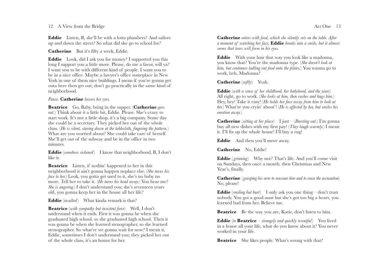**Eddie** Listen, B, she'll be with a lotta plumbers? And sailors up and down the street? So what did she go to school for?

**Catherine** But it's fifty a week, Eddie.

**Eddie** Look, did I ask you for money? I supported you this long I support you a little more. Please, do me a favor, will ya? I want you to be with different kind of people. I want you to be in a nice office. Maybe a lawyer's office someplace in New York in one of them nice buildings. I mean if you're gonna get outa here then get out; don't go practically in the same kind of neighborhood.

*Pause.* **Catherine** *lowers her eyes.* 

**Beatrice** Go, Baby, bring in the supper. (**Catherine** *goes out.*) Think about it a little bit, Eddie. Please. She's crazy to start work. It's not a little shop, it's a big company. Some day she could be a secretary. They picked her out of the whole class. (*He is silent, staring down at the tablecloth, fingering the pattern.*) What are you worried about? She could take care of herself. She'll get out of the subway and be in the office in two minutes.

**Eddie** (*somehow sickened*) I know that neighborhood, B, I don't like it.

**Beatrice** Listen, if nothin' happened to her in this neighborhood it ain't gonna happen noplace else. (*She turns his face to her.*) Look, you gotta get used to it, she's no baby no more. Tell her to take it. (*He turns his head away.*) You hear me? *She is angering.*) I don't understand you; she's seventeen years old, you gonna keep her in the house all her life?

**Eddie** (*insulted*) What kinda remark is that?

**Beatrice** (*with sympathy but insistent force*) Well, I don't understand when it ends. First it was gonna be when she graduated high school, so she graduated high school. Then it was gonna be when she learned stenographer, so she learned stenographer. So what're we gonna wait for now? I mean it, Eddie, sometimes I don't understand you; they picked her out of the whole class, it's an honor for her.

**Catherine** *enters with food, which she silently sets on the table. After <sup>a</sup> moment of watching her face,* **Eddie** *breaks into a smile, but it almost seems that tears will form in his eyes.* 

**Eddie** With your hair that way you look like a madonna, you know that? You're the madonna type. (*She doesn't look at him, but continues ladling out food onto the plates.*) You wanna go to work, heh, Madonna?

**Catherine** (*softly*) Yeah.

**Eddie** (*with a sense of her childhood, her babyhood, and the years*) All right, go to work. (*She looks at him, then rushes and hugs him.*) Hey, hey! Take it easy! (*He holds her face away from him to look at her.*) What're you cryin' about'! (*He is affected by her, but smiles his emotion away.*)

**Catherine** (*sitting at her place*) I just – (*Bursting out.*) I'm gonna buy all new dishes with my first pay! (*They laugh warmly.*) I mean it. I'll fix up the whole house! I'll buy a rug!

**Eddie** And then you'll move away.

**Catherine** No, Eddie!

**Eddie** (*grinning*) Why not? That's life. And you'll come visit on Sundays, then once a month, then Christmas and New Year's, finally.

**Catherine** (*grasping his arm to reassure him and to erase the accusation*) No, please!

**Eddie** (*smiling but hurt*) I only ask you one thing – don't trust nobody. You got a good aunt but she's got too big a heart, you learned bad from her. Believe me.

**Beatrice** Be the way you are, Katie, don't listen to him.

**Eddie** (*to* **Beatrice** – *strangely and quickly resentful*) You lived in a house all your life, what do you know about it? You never worked in your life.

**Beatrice** She likes people. What's wrong with that?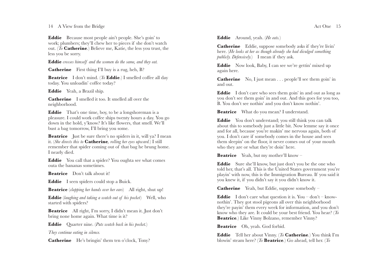**Eddie** Because most people ain't people. She's goin' to work; plumbers; they'll chew her to pieces if she don't watch out. (*To* **Catherine***.*) Believe me, Katie, the less you trust, the less you be sorry.

**Eddie** *crosses himself and the women do the same, and they eat.* 

**Catherine** First thing I'll buy is a rug, heh, B?

**Beatrice** I don't mind. (*To* **Eddie***.*) I smelled coffee all day today. You unloadin' coffee today?

**Eddie** Yeah, a Brazil ship.

**Catherine** I smelled it too. It smelled all over the neighborhood.

**Eddie** That's one time, boy, to be a longshoreman is a pleasure. I could work coffee ships twenty hours a day. You go down in the hold, y'know? It's like flowers, that smell. We'll bust a bag tomorrow, I'll bring you some.

**Beatrice** Iust be sure there's no spiders in it, will ya? I mean it. (*She directs this to* **Catherine***, rolling her eyes upward.*) I still remember that spider coming out of that bag he brung home. I nearly died.

**Eddie** You call that a spider? You oughta see what comes outa the bananas sometimes.

**Beatrice** Don't talk about it!

**Eddie** I seen spiders could stop a Buick.

**Beatrice** (*clapping her hands over her ears*) All right, shut up!

**Eddie** (*laughing and taking a watch out of his pocket*) Well, who started with spiders?

**Beatrice** All right, I'm sorry, I didn't mean it. Just don't bring none home again. What time is it?

**Eddie** Ouarter nine. (*Puts watch back in his pocket.*)

*They continue eating in silence.* 

**Catherine** He's bringin' them ten o'clock, Tony?

**Eddie** Around, yeah. (*He eats.*)

**Catherine** Eddie, suppose somebody asks if they're livin' here. (*He looks at her as though already she had divulged something publicly. Defensively.*) I mean if they ask.

**Eddie** Now look, Baby, I can see we're gettin' mixed up again here.

**Catherine** No, I just mean . . . people'll see them goin' in and out.

**Eddie** I don't care who sees them goin' in and out as long as you don't see them goin' in and out. And this goes for you too, B. You don't see nothin' and you don't know nothin'.

**Beatrice** What do you mean? I understand.

**Eddie** You don't understand; you still think you can talk about this to somebody just a little bit. Now lemme say it once and for all, because you're makin' me nervous again, both of you. I don't care if somebody comes in the house and sees them sleepin' on the floor, it never comes out of your mouth who they are or what they're doin' here.

**Beatrice** Yeah, but my mother'll know –

**Eddie** Sure she'll know, but just don't you be the one who told her, that's all. This is the United States government you're playin' with now, this is the Immigration Bureau. If you said it you knew it, if you didn't say it you didn't know it.

**Catherine** Yeah, but Eddie, suppose somebody –

**Eddie** I don't care what question it is. You – don't – knownothin'. They got stool pigeons all over this neighborhood they're payin' them every week for information, and you don't know who they are. It could be your best friend. You hear? (*To* **Beatrice***.*) Like Vinny Bolzano, remember Vinny?

**Beatrice** Oh, yeah. God forbid.

**Eddie** Tell her about Vinny. (*To* **Catherine***.*) You think I'm blowin' steam here? (*To* **Beatrice***.*) Go ahead, tell her. (*To*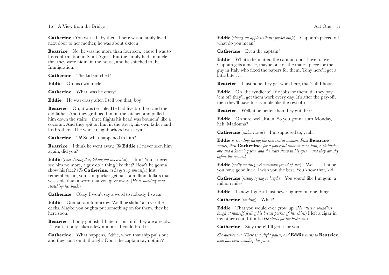**Catherine***.*) You was a baby then. There was a family lived next door to her mother, he was about sixteen –

**Beatrice** No, he was no more than fourteen, 'cause I was to his confirmation in Saint Agnes. But the family had an uncle that they were hidin' in the house, and he snitched to the Immigration.

**Catherine** The kid snitched?

**Eddie** On his own uncle!

**Catherine** What, was he crazy?

**Eddie** He was crazy after, I tell you that, boy.

**Beatrice** Oh, it was terrible. He had five brothers and the old father. And they grabbed him in the kitchen and pulled him down the stairs – three flights his head was bouncin' like a coconut. And they spit on him in the street, his own father and his brothers. The whole neighborhood was cryin'.

**Catherine** Ts! So what happened to him?

**Beatrice** I think he went away. (*To* **Eddie***.*) I never seen him again, did you?

**Eddie** (*rises during this, taking out his watch*) Him? You'll never see him no more, a guy do a thing like that? How's he gonna show his face? (*To* **Catherine***, as he gets up uneasily.*) Just remember, kid, you can quicker get back a million dollars that was stole than a word that you gave away. (*He is standing now, stretching his back.*)

**Catherine** Okay, I won't say a word to nobody, I swear.

**Eddie** Gonna rain tomorrow. We'll be slidin' all over the decks. Maybe you oughta put something on for them, they be here soon.

**Beatrice** I only got fish, I hate to spoil it if they ate already. I'll wait, it only takes a few minutes; I could broil it.

**Catherine** What happens, Eddie, when that ship pulls out and they ain't on it, though? Don't the captain say nothin'?

**Eddie** (*slicing an apple with his pocket knife*) Captain's pieced off, what do you mean?

**Catherine** Even the captain?

**Eddie** What's the matter, the captain don't have to live? Captain gets a piece, maybe one of the mates, piece for the guy in Italy who fixed the papers for them, Tony here'll get a little bite . . .

**Beatrice** I just hope they get work here, that's all I hope.

**Eddie** Oh, the syndicate'll fix jobs for them; till they pay 'em off they'll get them work every day. It's after the pay-off, then they'll have to scramble like the rest of us.

**Beatrice** Well, it be better than they got there.

**Eddie** Oh sure, well, listen. So you gonna start Monday, heh, Madonna?

**Catherine** (*embarrassed*) I'm supposed to, yeah.

**Eddie** *is standing facing the two seated women. First* **Beatrice** *smiles, then* **Catherine***, for a powerful emotion is on him, a childish one and a knowing fear, and the tears show in his eyes* – *and they are shy before the avowal.* 

**Eddie** (*sadly smiling, yet somehow proud of her*) Well . . . I hope you have good luck. I wish you the best. You know that, kid.

**Catherine** (*rising, trying to laugh*) You sound like I'm goin' a million miles!

**Eddie** I know. I guess I just never figured on one thing.

**Catherine** (*smiling*) What?

**Eddie** That you would ever grow up. (*He utters a soundless laugh at himself, feeling his breast pocket of his shirt.*) I left a cigar in my other coat, I think. (*He starts for the bedroom.*)

**Catherine** Stay there! I'll get it for you.

*She hurries out. There is a slight pause, and* **Eddie** *turns to* **Beatrice***, who has been avoiding his gaze.*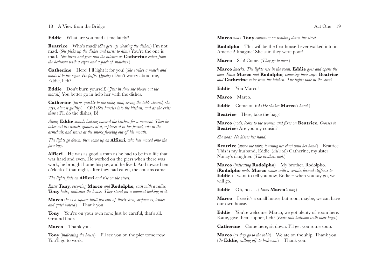**Eddie** What are you mad at me lately?

**Beatrice** Who's mad? (*She gets up, clearing the dishes.*) I'm not mad. (*She picks up the dishes and turns to him.*) You're the one is mad. (*She turns and goes into the kitchen as* **Catherine** *enters from the bedroom with a cigar and a pack of matches.*)

**Catherine** Here! I'll light it for you! (*She strikes a match and holds it to his cigar. He puffs. Quietly.*) Don't worry about me, Eddie, heh?

**Eddie** Don't burn yourself. ( *Just in time she blows out the match.*) You better go in help her with the dishes.

**Catherine** (*turns quickly to the table, and, seeing the table cleared, she says, almost guiltily*) Oh! (*She hurries into the kitchen, and as she exits there.*) I'll do the dishes, B!

*Alone,* **Eddie** *stands looking toward the kitchen for a moment. Then he takes out his watch, glances at it, replaces it in his pocket, sits in the armchair, and stares at the smoke flowing out of his mouth.* 

*The lights go down, then come up on* **Alfieri***, who has moved onto the forestage.* 

**Alfieri** He was as good a man as he had to be in a life that was hard and even. He worked on the piers when there was work, he brought home his pay, and he lived. And toward ten <sup>o</sup>'clock of that night, after they had eaten, the cousins came.

*The lights fade on* **Alfieri** *and rise on the street.* 

*Enter* **Tony***, escorting* **Marco** *and* **Rodolpho***, each with a valise.* **Tony** *halts, indicates the house. They stand for a moment looking at it.* 

**Marco** (*he is a square-built peasant of thirty-two, suspicious, tender, and quiet-voiced*) Thank you.

**Tony** You're on your own now. Just be careful, that's all. Ground floor.

**Marco** Thank you.

**Tony** (*indicating the house*) I'll see you on the pier tomorrow. You'll go to work.

**Marco** *nods.* **Tony** *continues on walking down the street.* 

**Rodolpho** This will be the first house I ever walked into in America! Imagine! She said they were poor!

**Marco** Ssh! Come. (*They go to door.*)

**Marco** *knocks. The lights rise in the room.* **Eddie** *goes and opens the door. Enter* **Marco** *and* **Rodolpho***, removing their caps.* **Beatrice** *and* **Catherine** *enter from the kitchen. The lights fade in the street.* 

**Eddie** You Marco?

**Marco** Marco.

**Eddie** Come on in! (*He shakes* **Marco***'s hand.*)

**Beatrice** Here, take the bags!

**Marco** (*nods, looks to the women and fixes on* **Beatrice***. Crosses to* **Beatrice**) Are you my cousin?

*She nods. He kisses her hand.* 

**Beatrice** (*above the table, touching her chest with her hand*) Beatrice. This is my husband, Eddie. (*All nod.*) Catherine, my sister Nancy's daughter. (*The brothers nod.*)

**Marco** (*indicating* **Rodolpho**) My brother. Rodolpho. (**Rodolpho** *nods.* **Marco** *comes with a certain formal stiffness to* **Eddie***.*) I want to tell you now, Eddie – when you say go, we will go.

**Eddie** Oh, no . . . (*Takes* **Marco***'s bag.*)

**Marco** I see it's a small house, but soon, maybe, we can have our own house.

**Eddie** You're welcome, Marco, we got plenty of room here. Katie, give them supper, heh? (*Exits into bedroom with their bags.*)

**Catherine** Come here, sit down. I'll get you some soup.

**Marco** (*as they go to the table*) We ate on the ship. Thank you. (*To* **Eddie***, calling off to bedroom.*) Thank you.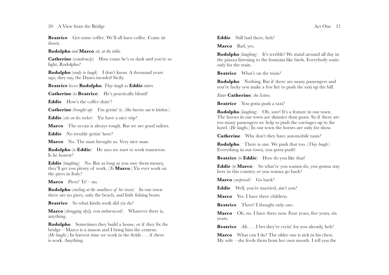**Beatrice** Get some coffee. We'll all have coffee. Come sit down.

**Rodolpho** *and* **Marco** *sit, at the table.* 

**Catherine** (*wondrously*) How come he's so dark and you're so light, Rodolpho?

**Rodolpho** (*ready to laugh*) I don't know. A thousand years ago, they say, the Danes invaded Sicily.

**Beatrice** *kisses* **Rodolpho***. They laugh as* **Eddie** *enters.* 

**Catherine** (*to* **Beatrice**) He's practically blond!

**Eddie** How's the coffee doin'?

**Catherine** (*brought up*) I'm gettin' it. (*She hurries out to kitchen.*)

**Eddie** (*sits on his rocker*) Yiz have a nice trip?

**Marco** The ocean is always rough. But we are good sailors.

**Eddie** No trouble gettin' here?

**Marco** No. The man brought us. Very nice man.

**Rodolpho** (*to* **Eddie**) He says we start to work tomorrow. Is he honest?

**Eddie** (*laughing*) No. But as long as you owe them money, they'll get you plenty of work. (*To* **Marco***.*) Yiz ever work on the piers in Italy?

**Marco** Piers?  $Ts! = no$ .

**Rodolpho** (*smiling at the smallness of his town*) In our town there are no piers, only the beach, and little fishing boats.

**Beatrice** So what kinda work did yiz do?

**Marco** (*shrugging shyly, even embarrassed*) Whatever there is, anything.

**Rodolpho** Sometimes they build a house, or if they fix the bridge – Marco is a mason and I bring him the cement. (*He laughs.*) In harvest time we work in the fields  $\ldots$  if there is work. Anything.

**Eddie** Still bad there, heh?

Marco Bad, yes.

**Rodolpho** (*laughing*) It's terrible! We stand around all day in the piazza listening to the fountain like birds. Everybody waits only for the train.

**Beatrice** What's on the train?

**Rodolpho** Nothing. But if there are many passengers and you're lucky you make a few lire to push the taxi up the hill.

*Enter* **Catherine***; she listens.* 

**Beatrice** You gotta push a taxi?

**Rodolpho** (*laughing*) Oh, sure! It's a feature in our town. The horses in our town are skinnier than goats. So if there are too many passengers we help to push the carriages up to the hotel. (*He laughs.*) In our town the horses are only for show.

**Catherine** Why don't they have automobile taxis?

**Rodolpho** There is one. We push that too. (*They laugh.*) Everything in our town, you gotta push!

**Beatrice** (*to* **Eddie**) How do you like that!

**Eddie** (*to* **Marco**) So what're you wanna do, you gonna stay here in this country or you wanna go back?

**Marco** (*surprised*) Go back?

**Eddie** Well, you're married, ain't you?

**Marco** Yes. I have three children.

**Beatrice** Three! I thought only one.

**Marco** Oh, no. I have three now. Four years, five years, six years.

**Beatrice** Ah . . . I bet they're cryin' for you already, heh?

**Marco** What can I do? The older one is sick in his chest. My wife – she feeds them from her own mouth. I tell you the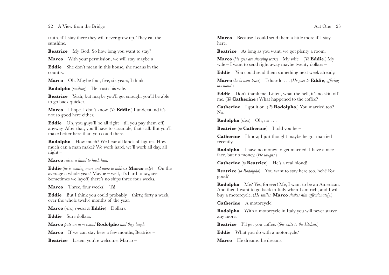truth, if I stay there they will never grow up. They eat the sunshine.

**Beatrice** My God. So how long you want to stay?

**Marco** With your permission, we will stay maybe a  $=$ 

**Eddie** She don't mean in this house, she means in the country.

**Marco** Oh. Maybe four, five, six years, I think.

**Rodolpho** (*smiling*) He trusts his wife.

**Beatrice** Yeah, but maybe you'll get enough, you'll be able to go back quicker.

**Marco** I hope. I don't know. (*To* **Eddie***.*) I understand it's not so good here either.

**Eddie** Oh, you guys'll be all right  $-$  till you pay them off, anyway. After that, you'll have to scramble, that's all. But you'll make better here than you could there.

**Rodolpho** How much? We hear all kinds of figures. How much can a man make? We work hard, we'll work all day, all  $night -$ 

**Marco** *raises a hand to hush him.* 

**Eddie** (*he is coming more and more to address* **Marco** *only*) On the average a whole year? Maybe – well, it's hard to say, see. Sometimes we layoff, there's no ships three four weeks.

**Marco** Three, four weeks! – Ts!

**Eddie** But I think you could probably – thirty, forty a week, over the whole twelve months of the year.

**Marco** (*rises, crosses to* **Eddie**) Dollars.

**Eddie** Sure dollars.

**Marco** *puts an arm round* **Rodolpho** *and they laugh.* 

**Marco** If we can stay here a few months, Beatrice –

**Beatrice** Listen, you're welcome, Marco –

**Marco** Because I could send them a little more if I stay here.

**Beatrice** As long as you want, we got plenty a room.

**Marco** (his eyes are showing tears) My wife  $-(T_0 \mathbf{E} \mathbf{ddie})$ .) My wife  $-I$  want to send right away maybe twenty dollars  $-$ 

**Eddie** You could send them something next week already.

**Marco** (*he is near tears*) Eduardo . . . (*He goes to* **Eddie***, offering his hand.*)

**Eddie** Don't thank me. Listen, what the hell, it's no skin off me. (*To* **Catherine***.*) What happened to the coffee?

**Catherine** I got it on. (*To* **Rodolpho***.*) You married too? No.

**Rodolpho** (*rises*) Oh, no . . .

**Beatrice** (*to* **Catherine**) I told you he –

**Catherine** I know, I just thought maybe he got married recently.

**Rodolpho** I have no money to get married. I have a nice face, but no money. (*He laughs.*)

**Catherine** (*to* **Beatrice**) He's a real blond!

**Beatrice** (*to Rodolpho*) You want to stay here too, heh? For good?

**Rodolpho** Me? Yes, forever! Me, I want to be an American. And then I want to go back to Italy when I am rich, and I will buy a motorcycle. (*He smiles.* **Marco** *shakes him affectionately.*)

**Catherine** A motorcycle!

**Rodolpho** With a motorcycle in Italy you will never starve any more.

**Beatrice** I'll get you coffee. (*She exits to the kitchen.*)

**Eddie** What you do with a motorcycle?

**Marco** He dreams, he dreams.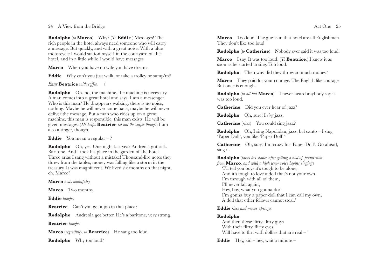**Rodolpho** (*to* **Marco**) Why? (*To* **Eddie***.*) Messages! The rich people in the hotel always need someone who will carry <sup>a</sup> message. But quickly, and with a great noise. With a blue motorcycle I would station myself in the courtyard of the hotel, and in a little while I would have messages.

**Marco** When you have no wife you have dreams.

**Eddie** Why can't you just walk, or take a trolley or sump'm?

*Enter* **Beatrice** *with coffee. ï* 

**Rodolpho** Oh, no, the machine, the machine is necessary. A man comes into a great hotel and says, I am a messenger. Who is this man? He disappears walking, there is no noise, nothing. Maybe he will never come back, maybe he will never deliver the message. But a man who rides up on a great machine, this man is responsible, this man exists. He will be given messages. (*He helps* **Beatrice** *set out the coffee things.*) I am also a singer, though.

**Eddie** You mean a regular – ?

**Rodolpho** Oh, yes. One night last year Andreola got sick. Baritone. And I took his place in the garden of the hotel. Three arias I sang without a mistake! Thousand-lire notes they threw from the tables, money was falling like a storm in the treasury. It was magnificent. We lived six months on that night, eh, Marco?

**Marco** *nods doubtfully.* 

**Marco** Two months.

**Eddie** *laughs.* 

**Beatrice** Can't you get a job in that place?

**Rodolpho** Andreola got better. He's a baritone, very strong.

**Beatrice** *laughs.* 

**Marco** (*regretfully, to* **Beatrice**) He sang too loud.

**Rodolpho** Why too loud?

**Marco** Too loud. The guests in that hotel are all Englishmen. They don't like too loud.

**Rodolpho** (*to* **Catherine**) Nobody ever said it was too loud!

**Marco** I say. It was too loud. (*To* **Beatrice***.*) I knew it as soon as he started to sing. Too loud.

**Rodolpho** Then why did they throw so much money?

**Marco** They paid for your courage. The English like courage. But once is enough.

**Rodolpho** (*to all but* **Marco**) I never heard anybody say it was too loud.

**Catherine** Did you ever hear of jazz?

**Rodolpho** Oh, sure! I *sing* jazz.

**Catherine** (*rises*) You could sing jazz?

**Rodolpho** Oh, I sing Napolidan, jazz, bel canto – I sing 'Paper Doll', you like 'Paper Doll'?

**Catherine** Oh, sure, I'm crazy for 'Paper Doll'. Go ahead, sing it.

**Rodolpho** (*takes his stance after getting a nod of permission from* **Marco***, and with a high tenor voice begins singing*) 'I'll tell you boys it's tough to be alone, And it's tough to love a doll that's not your own. I'm through with all of them, I'll never fall again, Hey, boy, what you gonna do? I'm gonna buy a paper doll that I can call my own, A doll that other fellows cannot steal.'

**Eddie** *rises and moves upstage.* 

# **Rodolpho**

And then those flirty, flirty guys With their flirty, flirty eyes Will have to flirt with dollies that are real – '

**Eddie** Hey, kid – hey, wait a minute –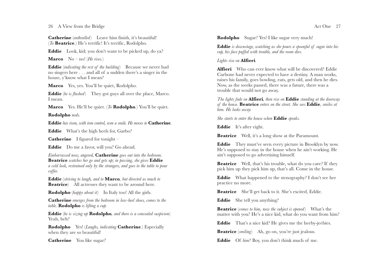**Catherine** (*enthralled*) Leave him finish, it's beautiful! (*To* **Beatrice***.*) He's terrific! It's terrific, Rodolpho.

**Eddie** Look, kid; you don't want to be picked up, do ya?

**Marco**  $\text{No} - \text{no}$ ! (*He rises.*)

**Eddie** (*indicating the rest of the building*) Because we never had no singers here . . . and all of a sudden there's a singer in the house, y'know what I mean?

**Marco** Yes, yes. You'll be quiet, Rodolpho.

**Eddie** (*he is flushed*) They got guys all over the place, Marco. I mean.

**Marco** Yes. He'll be quiet. (*To* **Rodolpho***.*) You'll be quiet.

**Rodolpho** *nods.* 

**Eddie** *has risen, with iron control, even a smile. He moves to* **Catherine***.* 

**Eddie** What's the high heels for, Garbo?

**Catherine** I figured for tonight –

**Eddie** Do me a favor, will you? Go ahead.

*Embarrassed now, angered, Catherine goes out into the bedroom.* **Beatrice** *watches her go and gets up; in passing, she gives* **Eddie** *<sup>a</sup> cold look, restrained only by the strangers, and goes to the table to pour coffee.* 

**Eddie** (*striving to laugh, and to* **Marco***, but directed as much to* **Beatrice**) All actresses they want to be around here.

**Rodolpho** (*happy about it*) In Italy too! All the girls.

**Catherine** *emerges from the bedroom in low-heel shoes, comes to the table.* **Rodolpho** *is lifting a cup.* 

**Eddie** (*he is sizing up* **Rodolpho***, and there is a concealed suspicion*) Yeah, heh?

**Rodolpho** Yes! (*Laughs, indicating* **Catherine***.*) Especially when they are so beautiful!

**Catherine** You like sugar?

**Rodolpho** Sugar? Yes! I like sugar very much!

**Eddie** *is downstage, watching as she pours a spoonful of sugar into his cup, his face puffed with trouble, and the room dies.* 

*Lights rise on* **Alfieri***.* 

**Alfieri** Who can ever know what will be discovered? Eddie Carbone had never expected to have a destiny. A man works, raises his family, goes bowling, eats, gets old, and then he dies. Now, as the weeks passed, there was a future, there was a trouble that would not go away.

*The lights fade on* **Alfieri***, then rise on* **Eddie** *standing at the doorway of the house.* **Beatrice** *enters on the street. She sees* **Eddie***, smiles at him. He looks away.* 

*She starts to enter the house when* **Eddie** *speaks.* 

**Eddie** It's after eight.

**Beatrice** Well, it's a long show at the Paramount.

**Eddie** They must've seen every picture in Brooklyn by now. He's supposed to stay in the house when he ain't working. He ain't supposed to go advertising himself.

**Beatrice** Well, that's his trouble, what do you care? If they pick him up they pick him up, that's all. Come in the house.

**Eddie** What happened to the stenography? I don't see her practice no more.

**Beatrice** She'll get back to it. She's excited, Eddie.

**Eddie** She tell you anything?

**Beatrice** (*comes to him, now the subject is opened*) What's the matter with you? He's a nice kid, what do you want from him?

**Eddie** That's a nice kid? He gives me the heeby-jeebies.

**Beatrice** (*smiling*) Ah, go on, you're just jealous.

**Eddie** Of *him*? Boy, you don't think much of me.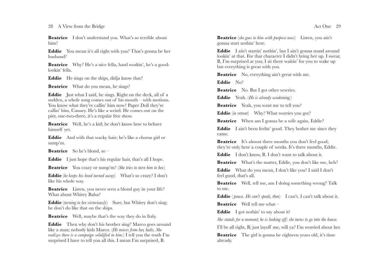**Beatrice** I don't understand you. What's so terrible about him?

**Eddie** You mean it's all right with you? That's gonna be her husband?

**Beatrice** Why? He's a nice fella, hard workin', he's a goodlookin' fella.

**Eddie** He sings on the ships, didja know that?

**Beatrice** What do you mean, he sings?

**Eddie** Just what I said, he sings. Right on the deck, all of a sudden, a whole song comes out of his mouth – with motions. You know what they're callin' him now? Paper Doll they're callin' him, Canary. He's like a weird. He comes out on the pier, one-two-three, it's a regular free show.

**Beatrice** Well, he's a kid; he don't know how to behave himself yet.

**Eddie** And with that wacky hair; he's like a chorus girl or sump'm.

**Beatrice** So he's blond, so –

**Eddie** I just hope that's his regular hair, that's all I hope.

**Beatrice** You crazy or sump'm? (*She tries to turn him to her.*)

**Eddie** (*he keeps his head turned away*) What's so crazy? I don't like his whole way.

**Beatrice** Listen, you never seen a blond guy in your life? What about Whitey Balsa?

**Eddie** (*turning to her victoriously*) Sure, but Whitey don't sing; he don't do like that on the ships.

**Beatrice** Well, maybe that's the way they do in Italy.

**Eddie** Then why don't his brother sing? Marco goes around like a man; nobody kids Marco. (*He moves from her, halts. She realizes there is a campaign solidified in him.*) I tell you the truth I'm surprised I have to tell you all this. I mean I'm surprised, B.

**Beatrice** (*she goes to him with purpose now*) Listen, you ain't gonna start nothin' here.

**Eddie** I ain't startin' nothin', but I ain't gonna stand around lookin' at that. For that character I didn't bring her up. I swear, B, I'm surprised at you; I sit there waitin' for you to wake up but everything is great with you.

**Beatrice** No, everything ain't great with me.

**Eddie** No?

**Beatrice** No. But I got other worries.

**Eddie** Yeah. (*He is already weakening.*)

**Beatrice** Yeah, you want me to tell you?

**Eddie** (*in retreat*) Why? What worries you got?

**Beatrice** When am I gonna be a wife again, Eddie?

**Eddie** I ain't been feelin' good. They bother me since they came.

**Beatrice** It's almost three months you don't feel good; they're only here a couple of weeks. It's three months, Eddie.

**Eddie** I don't know, B. I don't want to talk about it.

**Beatrice** What's the matter, Eddie, you don't like me, heh?

**Eddie** What do you mean, I don't like you? I said I don't feel good, that's all.

**Beatrice** Well, tell me, am I doing something wrong? Talk to me.

**Eddie** ( *pause. He can't speak, then*) I can't. I can't talk about it.

**Beatrice** Well tell me what –

**Eddie** I got nothin' to say about it!

*She stands for a moment; he is looking off; she turns to go into the house.* 

I'll be all right, B; just layoff me, will ya? I'm worried about her.

**Beatrice** The girl is gonna be eighteen years old, it's time already.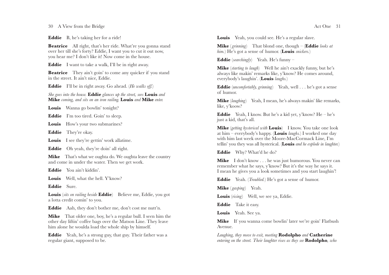**Eddie** B, he's taking her for a ride!

**Beatrice** All right, that's her ride. What're you gonna stand over her till she's forty? Eddie, I want you to cut it out now, you hear me? I don't like it! Now come in the house.

**Eddie** I want to take a walk, I'll be in right away.

**Beatrice** They ain't goin' to come any quicker if you stand in the street. It ain't nice, Eddie.

**Eddie** I'll be in right away. Go ahead. (*He walks off.*)

*She goes into the house.* **Eddie** *glances up the street, sees* **Louis** *and* **Mike** *coming, and sits on an iron railing.* **Louis** *and* **Mike** *enter.* 

**Louis** Wanna go bowlin' tonight?

**Eddie** I'm too tired. Goin' to sleep.

**Louis** How's your two submarines?

**Eddie** They're okay.

**Louis** I see they're gettin' work allatime.

**Eddie** Oh yeah, they're doin' all right.

**Mike** That's what we oughta do. We oughta leave the country and come in under the water. Then we get work.

**Eddie** You ain't kiddin'.

Louis Well, what the hell. Y'know?

**Eddie** Sure.

**Louis** (*sits on railing beside* **Eddie**) Believe me, Eddie, you got a lotta credit comin' to you.

**Eddie** Aah, they don't bother me, don't cost me nutt'n.

**Mike** That older one, boy, he's a regular bull. I seen him the other day liftin' coffee bags over the Matson Line. They leave him alone he woulda load the whole ship by himself.

**Eddie** Yeah, he's a strong guy, that guy. Their father was a regular giant, supposed to be.

**Louis** Yeah, you could see. He's a regular slave.

**Mike** (*grinning*) That blond one, though – (**Eddie** *looks at him.*) He's got a sense of humor. (**Louis** *snickers.*)

**Eddie** (*searchingly*) Yeah. He's funny –

**Mike** (*starting to laugh*) Well he ain't exackly funny, but he's always like makin' remarks like, y'know? He comes around, everybody's laughin'. (**Louis** *laughs.*)

**Eddie** (*uncomfortably, grinning*) Yeah, well . . . he's got a sense of humor.

**Mike** (*laughing*) Yeah, I mean, he's always makin' like remarks, like, y'koow?

**Eddie** Yeah, I know. But he's a kid yet, y'know?  $He - he's$ just a kid, that's all.

**Mike** (*getting hysterical with* **Louis**) I know. You take one look at him – everybody's happy. (**Louis** *laughs.*) I worked one day with him last week over the Moore-MacCormack Line, I'm tellin' you they was all hysterical. (**Louis** *and he explode in laughter.*)

**Eddie** Why? What'd he do?

**Mike** I don't know . . . he was just humorous. You never can remember what he says, y'know? But it's the way he says it. I mean he gives you a look sometimes and you start laughin'!

**Eddie** Yeah. (*Troubled.*) He's got a sense of humor.

**Mike** (*gasping*) Yeah.

**Louis** (*rising*) Well, we see ya, Eddie.

**Eddie** Take it easy.

**Louis** Yeah. See ya.

**Mike** If you wanna come bowlin' later we're goin' Flatbush Avenue.

*Laughing, they move to exit, meeting* **Rodolpho** *and* **Catherine** *entering on the street. Their laughter rises as they see* **Rodolpho***, who*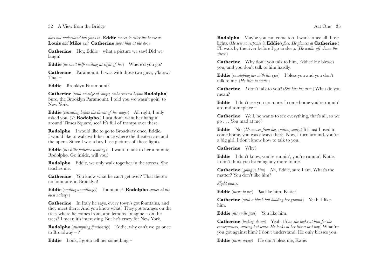*does not understand but joins in.* **Eddie** *moves to enter the house as* **Louis** *and* **Mike** *exit.* **Catherine** *stops him at the door.* 

**Catherine** Hey, Eddie – what a picture we saw! Did we laugh!

**Eddie** (*he can't help smiling at sight of her*) Where'd you go?

**Catherine** Paramount. It was with those two guys, y'know? That –

**Eddie** Brooklyn Paramount?

**Catherine** (*with an edge of anger, embarrassed before* **Rodolpho**) Sure, the Brooklyn Paramount. I told you we wasn't goin' to New York.

**Eddie** (*retreating before the threat of her anger*) All right, I only asked you. (*To* **Rodolpho***.*) I just don't want her hangin' around Times Square, see? It's full of tramps over there.

**Rodolpho** I would like to go to Broadway once, Eddie. I would like to walk with her once where the theaters are and the opera. Since I was a boy I see pictures of those lights.

**Eddie** (*his little patience waning*) I want to talk to her a minute, Rodolpho. Go inside, will you?

**Rodolpho** Eddie, we only walk together in the streets. She teaches me.

**Catherine** You know what he can't get over? That there's no fountains in Brooklyn!

**Eddie** (*smiling unwillingly*) Fountains? (**Rodolpho** *smiles at his own naivety.*)

**Catherine** In Italy he says, every town's got fountains, and they meet there. And you know what? They got oranges on the trees where he comes from, and lemons. Imagine – on the trees? I mean it's interesting. But he's crazy for New York.

**Rodolpho** (*attempting familiarity*) Eddie, why can't we go once to Broadway – ?

**Eddie** Look, I gotta tell her something –

**Rodolpho** Maybe you can come too. I want to see all those lights. (*He sees no response in* **Eddie***'s face. He glances at* **Catherine***.*) I'll walk by the river before I go to sleep. (*He walks off down the street.*)

**Catherine** Why don't you talk to him, Eddie? He blesses you, and you don't talk to him hardly.

**Eddie** (*enveloping her with his eyes*) I bless you and you don't talk to me. (*He tries to smile.*)

**Catherine** *I* don't talk to you? (*She hits his arm.*) What do you mean?

**Eddie** I don't see you no more. I come home you're runnin' around someplace –

**Catherine** Well, he wants to see everything, that's all, so we go . . . You mad at me?

**Eddie** No. (*He moves from her, smiling sadly.*) It's just I used to come home, you was always there. Now, I turn around, you're a big girl. I don't know how to talk to you.

#### **Catherine** Why?

**Eddie** I don't know, you're runnin', you're runnin', Katie. I don't think you listening any more to me.

**Catherine** (*going to him*) Ah, Eddie, sure I am. What's the matter? You don't like him?

*Slight pause.* 

**Eddie** (*turns to her*) *You* like him, Katie?

**Catherine** (*with a blush but holding her ground*) Yeah. I like him.

**Eddie** (*his smile goes*) You like him.

**Catherine** (*looking down*) Yeah. (*Now she looks at him for the consequences, smiling but tense. He looks at her like a lost boy.*) What're you got against him? I don't understand. He only blesses you.

**Eddie** (*turns away*) He don't bless me, Katie.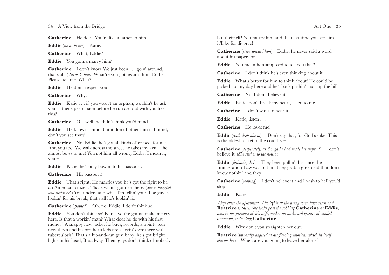**Catherine** He does! You're like a father to him!

**Eddie** (*turns to her*) Katie.

**Catherine** What, Eddie?

**Eddie** You gonna marry him?

**Catherine** I don't know. We just been . . . goin' around, that's all. (*Turns to him.*) What're you got against him, Eddie? Please, tell me. What?

**Eddie** He don't respect you.

**Catherine** Why?

**Eddie** Katie . . . if you wasn't an orphan, wouldn't he ask your father's permission before he run around with you like this?

**Catherine** Oh, well, he didn't think you'd mind.

**Eddie** He knows I mind, but it don't bother him if I mind, don't you see that?

**Catherine** No, Eddie, he's got all kinds of respect for me. And you too! We walk across the street he takes my arm – he almost bows to me! You got him all wrong, Eddie; I mean it, you –

**Eddie** Katie, he's only bowin' to his passport.

**Catherine** His passport!

**Eddie** That's right. He marries you he's got the right to be an American citizen. That's what's goin' on here. (*She is puzzled and surprised.*) You understand what I'm tellin' you? The guy is lookin' for his break, that's all he's lookin' for.

**Catherine** ( *pained* ) Oh, no, Eddie, I don't think so.

**Eddie** You don't think so! Katie, you're gonna make me cry here. Is that a workin' man? What does he do with his first money? A snappy new jacket he buys, records, a pointy pair new shoes and his brother's kids are starvin' over there with tuberculosis? That's a hit-and-run guy, baby; he's got bright lights in his head, Broadway. Them guys don't think of nobody

but theirself! You marry him and the next time you see him it'll be for divorce!

**Catherine** (*steps toward him*) Eddie, he never said a word about his papers or –

**Eddie** You mean he's supposed to tell you that?

**Catherine** I don't think he's even thinking about it.

**Eddie** What's better for him to think about! He could be picked up any day here and he's back pushin' taxis up the hill!

**Catherine** No, I don't believe it.

**Eddie** Katie, don't break my heart, listen to me.

**Catherine** I don't want to hear it.

**Eddie** Katie, listen . . .

**Catherine** He loves me!

**Eddie** (*with deep alarm*) Don't say that, for God's sake! This is the oldest racket in the country –

**Catherine** (*desperately, as though he had made his imprint*) I don't believe it! (*She rushes to the house.*)

**Eddie** (*following her*) They been pullin' this since the Immigration Law was put in! They grab a green kid that don't know nothin' and they –

**Catherine** (*sobbing*) I don't believe it and I wish to hell you'd stop it!

**Eddie** Katie!

*They enter the apartment. The lights in the living room have risen and* **Beatrice** *is there. She looks past the sobbing* **Catherine** *at* **Eddie***, who in the presence of his wife, makes an awkward gesture of eroded command, indicating* **Catherine***.* 

**Eddie** Why don't you straighten her out?

**Beatrice** (*inwardly angered at his flowing emotion, which in itself olarms her*) When are you going to leave her alone?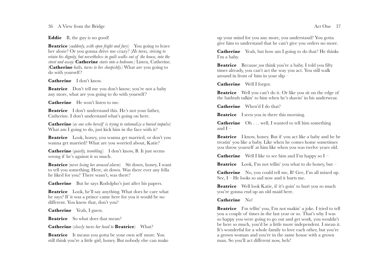**Eddie** B, the guy is no good!

**Beatrice** (*suddenly, with open fright and fury*) You going to leave her alone? Or you gonna drive me crazy? (*He turns, striving to retain his dignity, but nevertheless in guilt walks out of the house, into the street and away.* **Catherine** *starts into a bedroom.*) Listen, Catherine. (**Catherine** *halts, turns to her sheepishly.*) What are you going to do with yourself ?

**Catherine** I don't know.

**Beatrice** Don't tell me you don't know; you're not a baby any more, what are you going to do with yourself ?

**Catherine** He won't listen to me.

**Beatrice** I don't understand this. He's not your father, Catherine. I don't understand what's going on here.

**Catherine** (*as one who herself is trying to rationalize a buried impulse*) What am I going to do, just kick him in the face with it?

**Beatrice** Look, honey, you wanna get married, or don't you wanna get married? What are you worried about, Katie?

**Catherine** (*quietly, trembling*) I don't know, B. It just seems wrong if he's against it so much.

**Beatrice** (*never losing her aroused alarm*) Sit down, honey, I want to tell you something. Here, sit down. Was there ever any fella he liked for you? There wasn't, was there?

**Catherine** But he says Rodolpho's just after his papers.

**Beatrice** Look, he'll say anything. What does he care what he says? If it was a prince came here for you it would be no different. You know that, don't you?

**Catherine** Yeah, I guess.

**Beatrice** So what does that mean?

**Catherine** (*slowly turns her head to* **Beatrice**) What?

**Beatrice** It means you gotta be your own self more. You still think you're a little girl, honey. But nobody else can make up your mind for you any more, you understand? You gotta give him to understand that he can't give you orders no more.

**Catherine** Yeah, but how am I going to do that? He thinks I'm a baby.

**Beatrice** Because *you* think you're a baby. I told you fifty times already, you can't act the way you act. You still walk around in front of him in your slip –

**Catherine** Well I forgot.

**Beatrice** Well you can't do it. Or like you sit on the edge of the bathtub talkin' to him when he's shavin' in his underwear.

**Catherine** When'd I do that?

**Beatrice** I seen you in there this morning.

**Catherine** Oh . . . well, I wanted to tell him something and I –

**Beatrice** I know, honey. But if you act like a baby and he be treatin' you like a baby. Like when he comes home sometimes you throw yourself at him like when you was twelve years old.

**Catherine** Well I like to see him and I'm happy so I –

**Beatrice** Look, I'm not tellin' you what to do honey, but –

**Catherine** No, you could tell me, B! Gee, I'm all mixed up. See,  $I$  – He looks so sad now and it hurts me.

**Beatrice** Well look Katie, if it's goin' to hurt you so much you're gonna end up an old maid here.

## **Catherine** No!

**Beatrice** I'm tellin' you, I'm not makin' a joke. I tried to tell you a couple of times in the last year or so. That's why I was so happy you were going to go out and get work, you wouldn't be here so much, you'd be a little more independent. I mean it. It's wonderful for a whole family to love each other, but you're a grown woman and you're in the same house with a grown man. So you'll act different now, heh?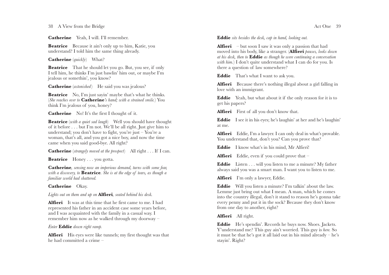**Catherine** Yeah, I will. I'll remember.

**Beatrice** Because it ain't only up to him, Katie, you understand? I told him the same thing already.

**Catherine** (*quickly*) What?

**Beatrice** That he should let you go. But, you see, if only I tell him, he thinks I'm just bawlin' him out, or maybe I'm jealous or somethin', you know?

**Catherine** (*astonished*) He said you was jealous?

**Beatrice** No, I'm just sayin' maybe that's what he thinks. (*She reaches over to* **Catherine***'s hand; with a strained smile.*) You think I'm jealous of you, honey?

**Catherine** No! It's the first I thought of it.

**Beatrice** (*with a quiet sad laugh*) Well you should have thought of it before . . . but I'm not. We'll be all right. Just give him to understand; you don't have to fight, you're just – You're a woman, that's all, and you got a nice boy, and now the time came when you said good-bye. All right?

**Catherine** (*strangely moved at the prospect*) All right . . . If I can.

**Beatrice** Honey . . . you gotta.

**Catherine***, sensing now an imperious demand, turns with some fear, with a discovery, to* **Beatrice***. She is at the edge of tears, as though a familiar world had shattered.* 

**Catherine** Okay.

*Lights out on them and up on* **Alfieri***, seated behind his desk.* 

**Alfieri** It was at this time that he first came to me. I had represented his father in an accident case some years before, and I was acquainted with the family in a casual way. I remember him now as he walked through my doorway –

*Enter* **Eddie** *down right ramp.* 

**Alfieri** His eyes were like tunnels; my first thought was that he had committed a crime –

**Eddie** *sits besides the desk, cap in hand, looking out.* 

**Alfieri** – but soon I saw it was only a passion that had moved into his body, like a stranger. (**Alfieri** *pauses, looks down at his desk, then to* **Eddie** *as though he were continuing a conversation with him.*) I don't quite understand what I can do for you. Is there a question of law somewhere?

**Eddie** That's what I want to ask you.

**Alfieri** Because there's nothing illegal about a girl falling in love with an immigrant.

**Eddie** Yeah, but what about it if the only reason for it is to get his papers?

**Alfieri** First of all you don't know that.

**Eddie** I see it in his eyes; he's laughin' at her and he's laughin' at me.

Alfieri Eddie, I'm a lawyer. I can only deal in what's provable. You understand that, don't you? Can you prove that?

**Eddie** I know what's in his mind, Mr Alfieri!

**Alfieri** Eddie, even if you could prove that –

**Eddie** Listen . . . will you listen to me a minute? My father always said you was a smart man. I want you to listen to me.

**Alfieri** I'm only a lawyer, Eddie.

**Eddie** Will you listen a minute? I'm talkin' about the law. Lemme just bring out what I mean. A man, which he comes into the country illegal, don't it stand to reason he's gonna take every penny and put it in the sock? Because they don't know from one day to another, right?

**Alfieri** All right.

**Eddie** He's spendin'. Records he buys now. Shoes. Jackets. Y'understand me? This guy ain't worried. This guy is *here.* So it must be that he's got it all laid out in his mind already – he's stayin'. Right?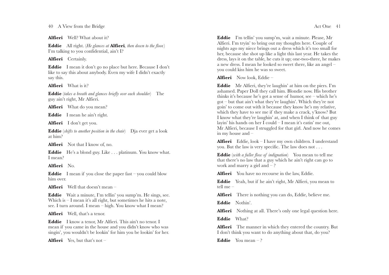**Alfieri** Well? What about it?

**Eddie** All right. (*He glances at* **Alfieri***, then down to the floor.*) I'm talking to you confidential, ain't I?

**Alfieri** Certainly.

**Eddie** I mean it don't go no place but here. Because I don't like to say this about anybody. Even my wife I didn't exactly say this.

**Alfieri** What is it?

**Eddie** (*takes a breath and glances briefly over each shoulder*) The guy ain't right, Mr Alfieri.

**Alfieri** What do you mean?

**Eddie** I mean he ain't right.

**Alfieri** I don't get you.

**Eddie** (*shifts to another position in the chair*) Dja ever get a look at him?

**Alfieri** Not that I know of, no.

**Eddie** He's a blond guy. Like . . . platinum. You know what. I mean?

**Alfieri** No.

**Eddie** I mean if you close the paper fast – you could blow him over.

**Alfieri** Well that doesn't mean –

**Eddie** Wait a minute, I'm tellin' you sump'm. He sings, see. Which is  $-I$  mean it's all right, but sometimes he hits a note, see. I turn around. I mean – high. You know what I mean?

**Alfieri** Well, that's a tenor.

**Eddie** I know a tenor, Mr Alfieri. This ain't no tenor. I mean if you came in the house and you didn't know who was singin', you wouldn't be lookin' for him you be lookin' for her.

**Alfieri** Yes, but that's not –

**Eddie** I'm tellin' you sump'm, wait a minute. Please, Mr Alfieri. I'm tryin' to bring out my thoughts here. Couple of nights ago my niece brings out a dress which it's too small for her, because she shot up like a light this last year. He takes the dress, lays it on the table, he cuts it up; one-two-three, he makes a new dress. I mean he looked so sweet there, like an angel – you could kiss him he was so sweet.

**Alfieri** Now look, Eddie –

**Eddie** Mr Alfieri, they're laughin' at him on the piers. I'm ashamed. Paper Doll they call him. Blondie now. His brother thinks it's because he's got a sense of humor, see – which he's got – but that ain't what they're laughin'. Which they're not goin' to come out with it because they know he's my relative, which they have to see me if they make a crack, y'know? But I know what they're laughin' at, and when I think of that guy layin' his hands on her I could – I mean it's eatin' me out, Mr Alfieri, because I struggled for that girl. And now he comes in my house and –

**Alfieri** Eddie, look – I have my own children. I understand you. But the law is very specific. The law does not . . .

**Eddie** (*with a fuller flow of indignation*) You mean to tell me that there's no law that a guy which he ain't right can go to work and marry a girl and  $-$ ?

**Alfieri** You have no recourse in the law, Eddie.

**Eddie** Yeah, but if he ain't right, Mr Alfieri, you mean to tell me –

**Alfieri** There is nothing you can do, Eddie, believe me.

**Eddie** Nothin'.

**Alfieri** Nothing at all. There's only one legal question here.

**Eddie** What?

**Alfieri** The manner in which they entered the country. But I don't think you want to do anything about that, do you?

**Eddie** You mean – ?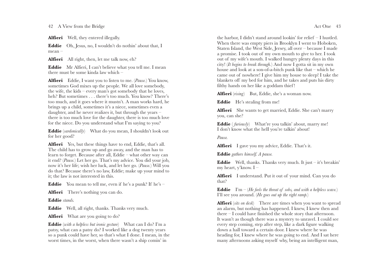**Alfieri** Well, they entered illegally.

**Eddie** Oh, Jesus, no, I wouldn't do nothin' about that, I mean –

**Alfieri** All right, then, let me talk now, eh?

**Eddie** Mr Alfieri, I can't believe what you tell me. I mean there must be some kinda law which –

**Alfieri** Eddie, I want you to listen to me. (*Pause.*) You know, sometimes God mixes up the people. We all love somebody, the wife, the kids – every man's got somebody that he loves, heh? But sometimes . . . there's too much. You know? There's too much, and it goes where it mustn't. A man works hard, he brings up a child, sometimes it's a niece, sometimes even a daughter, and he never realizes it, but through the years – there is too much love for the daughter, there is too much love for the niece. Do you understand what I'm saying to you?

**Eddie** (*sardonically*) What do you mean, I shouldn't look out for her good?

**Alfieri** Yes, but these things have to end, Eddie, that's all. The child has to grow up and go away, and the man has to learn to forget. Because after all, Eddie – what other way can it end? (*Pause.*) Let her go. That's my advice. You did your job, now it's her life; wish her luck, and let her go. (*Pause.*) Will you do that? Because there's no law, Eddie; make up your mind to it; the law is not interested in this.

**Eddie** You mean to tell me, even if he's a punk? If he's –

**Alfieri** There's nothing you can do.

**Eddie** *stands.* 

**Eddie** Well, all right, thanks. Thanks very much.

**Alfieri** What are you going to do?

**Eddie** (*with a helpless but ironic gesture*) What can I do? I'm a patsy, what can a patsy do? I worked like a dog twenty years so a punk could have her, so that's what I done. I mean, in the worst times, in the worst, when there wasn't a ship comin' in

the harbor, I didn't stand around lookin' for relief – I hustled. When there was empty piers in Brooklyn I went to Hoboken, Staten Island, the West Side, Jersey, all over – because I made a promise. I took out of my own mouth to give to her. I took out of my wife's mouth. I walked hungry plenty days in this city! (*It begins to break through.*) And now I gotta sit in my own house and look at a son-of-a-bitch punk like that – which he came out of nowhere! I give him my house to sleep! I take the blankets off my bed for him, and he takes and puts his dirty filthy hands on her like a goddam thief !

**Alfieri** (*rising*) But, Eddie, she's a woman now.

**Eddie** He's stealing from me!

**Alfieri** She wants to get married, Eddie. She can't marry you, can she?

**Eddie** ( *furiously*) What're you talkin' about, marry me! I don't know what the helI you're talkin' about!

*Pause.* 

**Alfieri** I gave you my advice, Eddie. That's it.

**Eddie** *gathers himself. A pause.* 

**Eddie** Well, thanks. Thanks very much. It just – it's breakin' my heart, y'know.  $I -$ 

**Alfieri** I understand. Put it out of your mind. Can you do that?

**Eddie** I'm – (*He feels the threat of sobs, and with a helpless wave.*) I'll see you around. (*He goes out up the right ramp.*)

**Alfieri** (*sits on desk*) There are times when you want to spread an alarm, but nothing has happened. I knew, I knew then and there – I could have finished the whole story that afternoon. It wasn't as though there was a mystery to unravel. I could see every step coming, step after step, like a dark figure walking down a hall toward a certain door. I knew where he was heading for, I knew where he was going to end. And I sat here many afternoons asking myself why, being an intelligent man,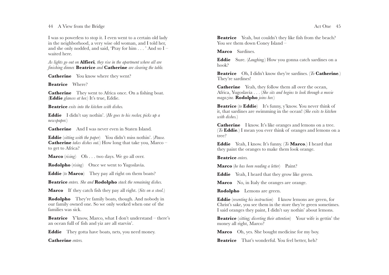I was so powerless to stop it. I even went to a certain old lady in the neighborhood, a very wise old woman, and I told her, and she only nodded, and said, 'Pray for him  $\ldots$ ' And so I – waited here.

*As lights go out on* **Alfieri***, they rise in the apartment where all are finishing dinner.* **Beatrice** *and* **Catherine** *are clearing the table.* 

**Catherine** You know where they went?

**Beatrice** Where?

**Catherine** They went to Africa once. On a fishing boat. (**Eddie** *glances at her.*) It's true, Eddie.

**Beatrice** *exits into the kitchen with dishes.* 

**Eddie** I didn't say nothin'. (*He goes to his rocker, picks up a newspaper.*)

**Catherine** And I was never even in Staten Island.

**Eddie** (*sitting with the paper*) You didn't miss nothin'. (*Pause.* **Catherine** *takes dishes out.*) How long that take you, Marco – to get to Africa?

**Marco** (*rising*) Oh . . . two days. We go all over.

**Rodolpho** (*rising*) Once we went to Yugoslavia.

**Eddie** (*to* **Marco**) They pay all right on them boats?

**Beatrice** *enters. She and* **Rodolpho** *stack the remaining dishes.* 

**Marco** If they catch fish they pay all right. (*Sits on a stool.*)

**Rodolpho** They're family boats, though. And nobody in our family owned one. So we only worked when one of the families was sick.

**Beatrice** Y'know, Marco, what I don't understand – there's an ocean fulI of fish and yiz are all starvin'.

**Eddie** They gotta have boats, nets, you need money.

**Catherine** *enters.* 

**Beatrice** Yeah, but couldn't they like fish from the beach? You see them down Coney Island –

**Marco** Sardines.

**Eddie** Sure. (*Laughing.*) How you gonna catch sardines on a hook?

**Beatrice** Oh, I didn't know they're sardines. (*To* **Catherine***.*) They're sardines!

**Catherine** Yeah, they follow them all over the ocean, Africa, Yugoslavia . . . (*She sits and begins to look through a movie magazine.* **Rodolpho** *joins her.*)

**Beatrice** (*to* **Eddie**) It's funny, y'know. You never think of it, that sardines are swimming in the ocean! (*She exits to kitchen with dishes.*)

**Catherine** I know. It's like oranges and lemons on a tree. (*To* **Eddie***.*) I mean you ever think of oranges and lemons on a tree?

**Eddie** Yeah, I know. It's funny. (*To* **Marco***.*) I heard that they paint the oranges to make them look orange.

**Beatrice** *enters.*

**Marco** (*he has been reading a letter*) Paint?

**Eddie** Yeah, I heard that they grow like green.

**Marco** No, in Italy the oranges are orange.

**Rodolpho** Lemons are green.

**Eddie** (*resenting his instruction*) I know lemons are green, for Christ's sake, you see them in the store they're green sometimes. I said oranges they paint, I didn't say nothin' about lemons.

**Beatrice** (*sitting; diverting their attention*) Your wife is gettin' the money all right, Marco?

**Marco** Oh, yes. She bought medicine for my boy.

**Beatrice** That's wonderful. You feel better, heh?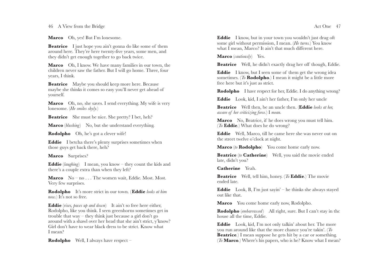**Marco** Oh, yes! But I'm lonesome.

**Beatrice** I just hope you ain't gonna do like some of them around here. They're here twenty-five years, some men, and they didn't get enough together to go back twice.

**Marco** Oh, I know. We have many families in our town, the children never saw the father. But I will go home. Three, four years, I think.

**Beatrice** Maybe you should keep more here. Because maybe she thinks it comes so easy you'll never get ahead of yourself.

**Marco** Oh, no, she saves. I send everything. My wife is very lonesome. (*He smiles shyly.*)

**Beatrice** She must be nice. She pretty? I bet, heh?

**Marco** (*blushing*) No, but she understand everything.

**Rodolpho** Oh, he's got a clever wife!

**Eddie** I betcha there's plenty surprises sometimes when those guys get back there, heh?

**Marco** Surprises?

**Eddie** (*laughing*) I mean, you know – they count the kids and there's a couple extra than when they left?

Marco No – no . . . The women wait, Eddie. Most. Most. Very few surprises.

**Rodolpho** It's more strict in our town. (**Eddie** *looks at him now.*) It's not so free.

**Eddie** (*rises, paces up and down*) It ain't so free here either, Rodolpho, like you think. I seen greenhorns sometimes get in trouble that way – they think just because a girl don't go around with a shawl over her head that she ain't strict, y'know? Girl don't have to wear black dress to be strict. Know what I mean?

**Rodolpho** Well, I always have respect –

**Eddie** I know, but in your town you wouldn't just drag oft some girl without permission, I mean. (*He turns.*) You know what I mean, Marco? It ain't that much different here.

**Marco** (*cautiously*) Yes.

**Beatrice** Well, he didn't exactly drag her off though, Eddie.

**Eddie** I know, but I seen some of them get the wrong idea sometimes. (*To* **Rodolpho***.*) I mean it might be a little more free here but it's just as strict.

**Rodolpho** I have respect for her, Eddie. I do anything wrong?

**Eddie** Look, kid, I ain't her father, I'm only her uncle

**Beatrice** Well then, be an uncle then. (**Eddie** *looks at her, aware of her criticizing force.*) I *mean.*

**Marco** No, Beatrice, if he does wrong you must tell him. (*To* **Eddie***.*) What does he do wrong?

**Eddie** Well, Marco, till he came here she was never out on the street twelve o'clock at night.

**Marco** (*to* **Rodolpho**) You come home early now.

**Beatrice** (*to* **Catherine**) Well, you said the movie ended late, didn't you?

**Catherine** Yeah.

**Beatrice** Well, tell him, honey. (*To* **Eddie***.*) The movie ended late.

**Eddie** Look, B, I'm just sayin' – he thinks she always stayed out like that.

**Marco** You come home early now, Rodolpho.

**Rodolpho** (*embarrassed*) All right, sure. But I can't stay in thc house all the time, Eddie.

**Eddie** Look, kid, I'm not only talkin' about her. The more you run around like that the more chance you're takin'. (*To* **Beatrice***.*) I mean suppose he gets hit by a car or something. (*To* **Marco***.*) Where's his papers, who is he? Know what I mean?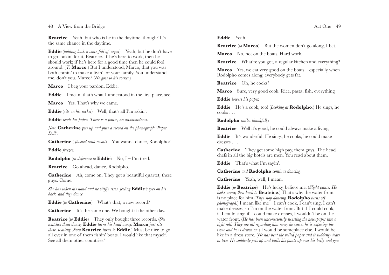**Beatrice** Yeah, but who is he in the daytime, though? It's the same chance in the daytime.

**Eddie** (*holding back a voice full of anger*) Yeah, but he don't have to go lookin' for it, Beatrice. If he's here to work, then hc should work; if he's here for a good time then he could fool around! (*To* **Marco***.*) But I understood, Marco, that you was both comin' to make a livin' for your family. You understand me, don't you, Marco? (*He goes to his rocker.*)

**Marco** I beg your pardon, Eddie.

**Eddie** I mean, that's what I understood in the first place, see.

**Marco** Yes. That's why we came.

**Eddie** (*sits on his rocker*) Well, that's all I'm askin'.

**Eddie** *reads his paper. There is a pause, an awkwardness.* 

*Now* **Catherine** *gets up and puts a record on the phonograph 'Paper Doll'.* 

**Catherine** ( *flushed with revolt*) You wanna dance, Rodolpho?

**Eddie** *freezes.* 

**Rodolpho** (*in deference to* **Eddie**) No, I – I'm tired.

**Beatrice** Go ahead, dance, Rodolpho.

**Catherine** Ah, come on. They got a beautiful quartet, these guys. Come.

*She has taken his hand and he stiffly rises, feeling* **Eddie***'s eyes on his back. and they dance.* 

**Eddie** (*to* **Catherine**) What's that, a new record?

**Catherine** It's the same one. We bought it the other day.

**Beatrice** (*to* **Eddie**) They only bought three records. (*She watches them dance;* **Eddie** *turns his head away.* **Marco** *just sits there, waiting. Now* **Beatrice** *turns to* **Eddie***.*) Must be nice to go all over in one of them fishin' boats. I would like that myself. See all them other countries?

**Eddie** Yeah.

**Beatrice** (*to* **Marco**) But the women don't go along, I bet.

**Marco** No, not on the boats. Hard work.

**Beatrice** What're you got, a regular kitchen and everything?

**Marco** Yes, we eat very good on the boats – especially when Rodolpho comes along; everybody gets fat.

**Beatrice** Oh, he cooks?

**Marco** Sure, very good cook. Rice, pasta, fish, everything.

**Eddie** *lowers his paper.* 

**Eddie** He's a cook, too! (*Looking at* **Rodolpho***.*) He sings, he cooks . . .

**Rodolpho** *smiles thankfully.* 

**Beatrice** Well it's good, he could always make a living.

**Eddie** It's wonderful. He sings, he cooks, he could make dresses . . .

**Catherine** They get some high pay, them guys. The head chefs in all the big hotels are men. You read about them.

**Eddie** That's what I'm sayin'.

**Catherine** *and* **Rodolpho** *continue dancing.* 

**Catherine** Yeah, well, I mean.

**Eddie** (*to* **Beatrice**) He's lucky, believe me. (*Slight pause. He looks away, then back to* **Beatrice***.*) That's why the water front is no place for him.(*They stop dancing.* **Rodolpho** *turns off phonograph.*) I mean like me – I can't cook, I can't sing, I can't make dresses, so I'm on the water front. But if I could cook, if I could sing, if I could make dresses, I wouldn't be on the water front. (*He has been unconsciously twisting the newspaper into a tight roll. They are all regarding him now; he senses he is exposing the issue and he is driven on.*) I would be someplace else. I would be like in a dress store. (*He has bent the rolled paper and it suddenly tears in two. He suddenly gets up and pulls his pants up over his belly and goes*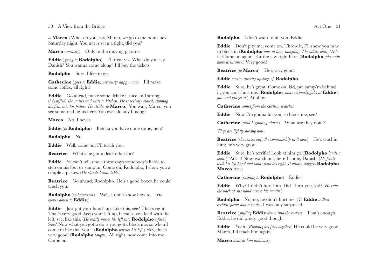*to* **Marco***.*) What do you, say, Marco, we go to the bouts next Saturday night. You never seen a fight, did you?

**Marco** (*uneasily*) Only in the moving pictures.

**Eddie** (*going to* **Rodolpho**) I'll treat yiz. What do you say, Danish? You wanna come along? I'll buy the tickets.

**Rodolpho** Sure. I like to go.

**Catherine** (*goes to* **Eddie***; nervously happy now*) I'll make somc coffee, all right?

**Eddie** Go ahead, make some! Make it nice and strong. (*Mystified, she smiles and exits to kitchen. He is weirdly elated, rubbing his fists into his palms. He strides to* **Marco***.*) You wait, Marco, you sec some real fights here. You ever do any boxing?

Marco No, I never.

**Eddie** (*to* **Rodolpho**) Betcha you have done some, heh?

**Rodolpho** No.

**Eddie** Well, come on, I'll teach you.

**Beatrice** What's he got to learn that for?

**Eddie** Ya can't tell, one a these days somebody's liable to step on his foot or sump'm. Come on, Rodolpho, I show you a couple a passes. (*He stands below table.*)

**Beatrice** Go ahead, Rodolpho. He's a good boxer, he could teach you.

**Rodolpho** (*embarrassed*) Well, I don't know how to – (*He moves down to* **Eddie***.*)

**Eddie** Just put your hands up. Like this, see? That's right. That's very good, keep your left up, because you lead with the left, see, like this. (*He gently moves his left into* **Rodolpho***'s face.*) See? Now what you gotta do is you gotta block me, so when I come in like that you – (**Rodolpho** *parries his left.*) Hey, that's very good! (**Rodolpho** *laughs.*) All right, now come into me. Come on.

**Rodolpho** I don't want to hit you, Eddie.

**Eddie** Don't pity me, come on. Throw it, I'll show you how to block it. (**Rodolpho** *jabs at him, laughing. The others join.*) 'At's it. Come on again. For the jaw right here. (**Rodolpho** *jabs with more assurance.*) Very good!

**Beatrice** (*to* **Marco**) He's very good!

**Eddie** *crosses directly upstage of* **Rodolpho***.* 

**Eddie** Sure, he's great! Come on, kid, put sump'm behind it, you can't hurt me. (**Rodolpho***, more seriously, jabs at* **Eddie***'s jaw and grazes it.*) Attaboy.

**Catherine** *comes from the kitchen, watches.* 

**Eddie** Now I'm gonna hit you, so block me, see?

**Catherine** (*with beginning alarm*) What are they doin'?

*They are lightly boxing now.* 

**Beatrice** (*she senses only the comradeship in it now*) He's teachin' him; he's very good!

**Eddie** Sure, he's terrific! Look at him go! (**Rodolpho** *lands a blow.*) 'At's it! Now, watch out, here I come, Danish! (*He feints with his left hand and lands with his right. It mildly staggers* **Rodolpho***.* **Marco** *rises.*)

**Catherine** (*rushing to* **Rodolpho**) Eddie!

**Eddie** Why? I didn't hurt him. Did I hurt you, kid? (*He rubs the back of his hand across his mouth.*)

**Rodolpho** No, no, he didn't hurt me. (*To* **Eddie** *with a certain gleam and a smile.*) I was only surprised.

**Beatrice** ( *pulling* **Eddie** *down into the rocker*) That's enough, Eddie; he did pretty good though.

**Eddie** Yeah. (*Rubbing his fists together.*) He could be very good, Marco. I'll teach him again.

**Marco** *nods at him dubiously.*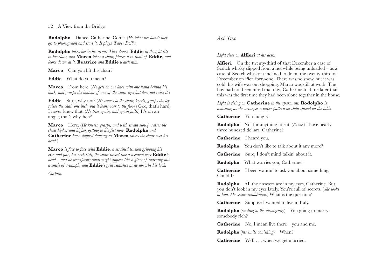**Rodolpho** Dance, Catherine. Come. (*He takes her hand; they g*<sup>o</sup> *to phonograph and start it. It plays 'Paper Doll'.*)

**Rodolpho** *takes her in his arms. They dance.* **Eddie** *in thought sits in his chair, and* **Marco** *takes a chair, places it in front of* **Eddie***, and looks down at it.* **Beatrice** *and* **Eddie** *watch him.* 

**Marco** Can you lift this chair?

**Eddie** What do you mean?

**Marco** From here. (*He gets on one knee with one hand behind his back, and grasps the bottom of one of the chair legs but does not raise it.*)

**Eddie** Sure, why not? (*He comes to the chair, kneels, grasps the leg, raises the chair one inch, but it leans over to the floor.*) Gee, that's hard, I never knew that. (*He tries again, and again fails.*) It's on an angle, that's why, heh?

**Marco** Here. (*He kneels, grasps, and with strain slowly raises the chair higher and higher, getting to his feet now.* **Rodolpho** *and* **Catherine** *have stopped dancing as* **Marco** *raises the chair over his head.*)

**Marco** *is face to face with* **Eddie***, a strained tension gripping his eyes and jaw, his neck stiff, the chair raised like a weapon over* **Eddie***'s head – and he transforms what might appear like a glare of warning into a smile of triumph, and* **Eddie***'s grin vanishes as he absorbs his look.* 

*Curtain.*

# *Act Two*

#### *Light rises on* **Alfieri** *at his desk.*

**Alfieri** On the twenty-third of that December a case of Scotch whisky slipped from a net while being unloaded – as a case of Scotch whisky is inclined to do on the twenty-third of December on Pier Forty-one. There was no snow, but it was cold, his wife was out shopping. Marco was still at work. The boy had not been hired that day; Catherine told me later that this was the first time they had been alone together in the house.

*Light is rising on* **Catherine** *in the apartment.* **Rodolpho** *is watching as she arranges a paper pattern on cloth spread on the table.* 

**Catherine** You hungry?

**Rodolpho** Not for anything to eat. *(Pause.)* I have nearly three hundred dollars. Catherine?

**Catherine** I heard you.

**Rodolpho** You don't like to talk about it any more?

**Catherine** Sure, I don't mind talkin' about it.

**Rodolpho** What worries you, Catherine?

**Catherine** I been wantin' to ask you about something. Could I?

**Rodolpho** AIl the answers are in my eyes, Catherine. But you don't look in my eyes lately. You're full of secrets. (*She looks at him. She seems withdrawn.*) What is the question?

**Catherine** Suppose I wanted to live in Italy.

**Rodolpho** (*smiling at the incongruity*) You going to marry somebody rich?

**Catherine** No, I mean live there – you and me.

**Rodolpho** (*his smile vanishing*) When?

**Catherine** WeIl . . . when we get married.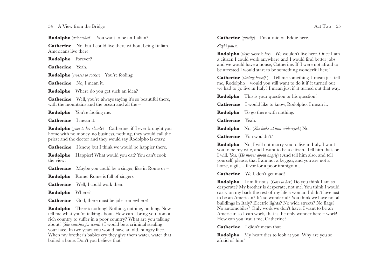**Rodolpho** (*astonished*) You want to be an Italian?

**Catherine** No, but I could live there without being Italian. Americans live there.

**Rodolpho** Forever?

**Catherine** Yeah.

**Rodolpho** (*crosses to rocker*) You're fooling.

**Catherine** No, I mean it.

**Rodolpho** Where do you get such an idea?

**Catherine** Well, you're always saying it's so beautiful there, with the mountains and the ocean and all the –

**Rodolpho** You're fooling me.

**Catherine** I mean it.

**Rodolpho** (*goes to her slowly*) Catherine, if I ever brought you home with no money, no business, nothing, they would call the priest and the doctor and they would say Rodolpho is crazy.

**Catherine** I know, but I think we would be happier there.

**Rodolpho** Happier! What would you eat? You can't cook the view!

**Catherine** Maybe you could be a singer, like in Rome or –

**Rodolpho** Rome! Rome is full of singers.

**Catherine** Well, I could work then.

**Rodolpho** Where?

**Catherine** God, there must be jobs somewhere!

**Rodolpho** There's nothing! Nothing, nothing, nothing. Now tell me what you're talking about. How can I bring you from a rich country to suffer in a poor country? What are you talking about? (*She searches for words.*) I would be a criminal stealing your face. In two years you would have an old, hungry face. When my brother's babies cry they give them water, water that boiled a bone. Don't you believe that?

**Catherine** (*quietly*) I'm afraid of Eddie here.

*Slight pause.* 

**Rodolpho** (*steps closer to her*) We wouldn't live here. Once I am a citizen I could work anywhere and I would find better jobs and we would have a house, Catherine. If I were not afraid to be arrested I would start to be something wonderful here!

**Catherine** (*steeling herself* ) Tell me something. I mean just tell me, Rodolpho – would you still want to do it if it turned out we had to go live in Italy? I mean just if it turned out that way.

**Rodolpho** This is your question or his question?

**Catherine** I would like to know, Rodolpho. I mean it.

**Rodolpho** To go there with nothing.

**Catherine** Yeah.

**Rodolpho** No. (*She looks at him wide-eyed.*) No.

**Catherine** You wouldn't?

**Rodolpho** No; I will not marry you to live in Italy. I want you to be my wife, and I want to be a citizen. Tell him that, or I will. Yes. (*He moves about angrily.*) And tell him also, and tell yourself, please, that I am not a beggar, and you are not a horse, a gift, a favor for a poor immigrant.

**Catherine** Well, don't get mad!

**Rodolpho** I am furious! (*Goes to her.*) Do you think I am so desperate? My brother is desperate, not me. You think I would carry on my back the rest of my life a woman I didn't love just to be an American? It's so wonderful? You think we have no tall buildings in Italy? Electric lights? No wide streets? No flags? No automobiles? Only work we don't have. I want to be an American so I can work, that is the only wonder here – work! How can you insult me, Catherine?

**Catherine** I didn't mean that –

**Rodolpho** My heart dies to look at you. Why are you so afraid of him?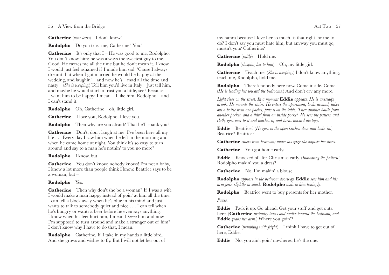**Catherine** (*near tears*) I don't know!

**Rodolpho** Do you trust me, Catherine? You?

**Catherine** It's only that I – He was good to me, Rodolpho. You don't know him; he was always the sweetest guy to me. Good. He razzes me all the time but he don't mean it. I know. I would just feel ashamed if I made him sad. 'Cause I always dreamt that when I got married he would be happy at the wedding, and laughin' – and now he's – mad all the time and nasty – (*She is weeping*.) Tell him you'd live in Italy – just tell him, and maybe he would start to trust you a little, see? Because I want him to be happy; I mean – I like him, Rodolpho – and I can't stand it!

**Rodolpho** Oh, Catherine – oh, little girl.

**Catherine** I love you, Rodolpho, I love you.

**Rodolpho** Then why are you afraid? That he'll spank you?

**Catherine** Don't, don't laugh at me! I've been here all my life . . . Every day I saw him when he left in the morning and when he came home at night. You think it's so easy to turn around and say to a man he's nothin' to you no more?

**Rodolpho** I know, but –

**Catherine** You don't know; nobody knows! I'm not a baby, I know a lot more than people think I know. Beatrice says to be a woman, but –

## **Rodolpho** Yes.

**Catherine** Then why don't she be a woman? If I was a wife I would make a man happy instead of goin' at him all the time. I can tell a block away when he's blue in his mind and just wants to talk to somebody quiet and nice . . . I can tell when he's hungry or wants a beer before he even says anything. I know when his feet hurt him, I mean I *know* him and now I'm supposed to turn around and make a stranger out of him? I don't know why I have to do that, I mean.

**Rodolpho** Catherine. If I take in my hands a little bird. And she grows and wishes to fly. But I will not let her out of

my hands because I love her so much, is that right for me to do? I don't say you must hate him; but anyway you must go, mustn't you? Catherine?

**Catherine** (*softly*) Hold me.

**Rodolpho** (*clasping her to him*) Oh, my little girl.

**Catherine** Teach me. (*She is weeping.*) I don't know anything, teach me, Rodolpho, hold me.

**Rodolpho** There's nobody here now. Come inside. Come. (*He is leading her toward the bedrooms.*) And don't cry any more.

*Light rises on the street. In a moment* **Eddie** *appears. He is unsteady, drunk. He mounts the stairs. He enters the apartment, looks around, takes out a bottle from one pocket, puts it on the table. Then another bottle from another pocket, and a third from an inside pocket. He sees the pattern and cloth, goes over to it and touches it, and turns toward upstage.* 

**Eddie** Beatrice? (*He goes to the open kitchen door and looks in.*) Beatrice? Beatrice?

**Catherine** *enters from bedroom; under his gaze she adjusts her dress.* 

**Catherine** You got home early.

**Eddie** Knocked off for Christmas early. (*Indicating the pattern.*) Rodolpho makin' you a dress?

**Catherine** No. I'm makin' a blouse.

**Rodolpho** *appears in the bedroom doorway.* **Eddie** *sees him and his arm jerks slightly in shock.* **Rodolpho** *nods to him testingly.* 

**Rodolpho** Beatrice went to buy presents for her mother.

## *Pause.*

**Eddie** Pack it up. Go ahead. Get your stuff and get outa here. (**Catherine** *instantly turns and walks toward the bedroom, and* **Eddie** *grabs her arm.*) Where you goin'?

**Catherine** (*trembling with fright*) I think I have to get out of here, Eddie.

**Eddie** No, you ain't goin' nowheres, he's the one.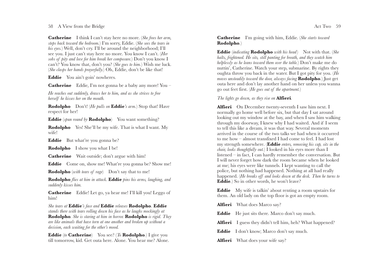**Catherine** I think I can't stay here no more. (*She frees her arm, steps back toward the bedroom.*) I'm sorry, Eddie. (*She sees the tears in his eyes.*) Well, don't cry. I'll be around the neighborhood; I'll see you. I just can't stay here no more. You know I can't. (*Her sobs of pity and love for him break her composure.*) Don't you know I can't? You know that, don't you? (*She goes to him.*) Wish me luck. (*She clasps her hands prayerfully.*) Oh, Eddie, don't be like that!

**Eddie** You ain't goin' nowheres.

**Catherine** Eddie, I'm not gonna be a baby any more! You –

*He reaches out suddenly, draws her to him, and as she strives to free herself he kisses her on the mouth.* 

**Rodolpho** Don't! (*He pulls on* **Eddie***'s arm.*) Stop that! Have respect for her!

**Eddie** (*spun round by* **Rodolpho**) You want something?

**Rodolpho** Yes! She'll be my wife. That is what I want. My wife!

**Eddie** But what're you gonna be?

**Rodolpho** I show you what I be!

**Catherine** Wait outside; don't argue with him!

**Eddie** Come on, show me! What're you gonna be? Show me!

**Rodolpho** (*with tears of rage*) Don't say that to me!

**Rodolpho** *flies at him in attack.* **Eddie** *pins his arms, laughing, and suddenly kisses him.* 

**Catherine** Eddie! Let go, ya hear me! I'll kill you! Leggo of him!

*She tears at* **Eddie***'s face and* **Eddie** *releases* **Rodolpho***.* **Eddie** *stands there with tears rolling down his face as he laughs mock ingly at* **Rodolpho***. She is staring at him in horror.* **Rodolpho** *is rigid. They are like animals that have torn at one another and broken up without a decision, each waiting for the other's mood.* 

**Eddie** (*to* **Catherine**) You see? (*To* **Rodolpho***.*) I give you till tomorrow, kid. Get outa here. Alone. You hear me? Alone. **Catherine** I'm going with him, Eddie. (*She starts toward* **Rodolpho***.*)

**Eddie** (*indicating* **Rodolpho** *with his head*) Not with that. (*She halts, frightened. He sits, still panting for breath, and they watch him helplessly as he leans toward them over the table.*) Don't make me do nuttin', Catherine. Watch your step, submarine. By rights they oughta throw you back in the water. But I got pity for you. (*He moves unsteadily toward the door, always facing* **Rodolpho***.*) Just get outa here and don't lay another hand on her unless you wanna go out feet first. (*He goes out of the apartment.*)

*The lights go down, as they rise on* **Alfieri***.* 

**Alfieri** On December twenty-seventh I saw him next. I normally go home well before six, but that day I sat around looking out my window at the bay, and when I saw him walking through my doorway, I knew why I had waited. And if I seem to tell this like a dream, it was that way. Several moments arrived in the course of the two talks we had when it occurred to me how – almost transfixed I had come to feel. I had lost my strength somewhere. (**Eddie** *enters, removing his cap, sits in the chair, looks thoughtfully out.*) I looked in his eyes more than I listened – in fact, I can hardly remember the conversation. But I will never forget how dark the room became when he looked at me; his eyes were like tunnels. I kept wanting to call the police, but nothing had happened. Nothing at all had really happened. (*He breaks off and looks down at the desk. Then he turns to* **Eddie***.*) So in other words, he won't leave?

**Eddie** My wife is talkin' about renting a room upstairs for them. An old lady on the top floor is got an empty room.

**Alfieri** What does Marco say?

**Eddie** He just sits there. Marco don't say much.

**Alfieri** I guess they didn't tell him, heh? What happened?

**Eddie** I don't know; Marco don't say much.

**Alfieri** What does your wife say?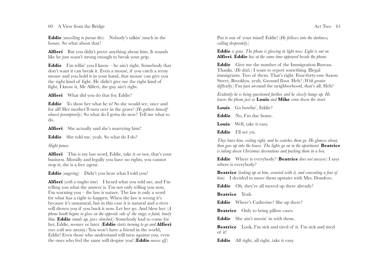**Eddie** (*unwilling to pursue this*) Nobody's talkin' much in the house. So what about that?

**Alfieri** But you didn't prove anything about him. It sounds like he just wasn't strong enough to break your grip.

**Eddie** I'm tellin' you I know – he ain't right. Somebody that don't want it can break it. Even a mouse, if you catch a teeny mouse and you hold it in your hand, that mouse can give you the right kind of fight. He didn't give me the right kind of fight, I know it, Mr Alfieri, the guy ain't right.

**Alfieri** What did you do that for, Eddie?

**Eddie** To show her what he is! So she would see, once and for all! Her mother'll turn over in the grave! (*He gathers himself almost peremptorily.*) So what do I gotta do now? Tell me what to do.

**Alfieri** She actually said she's marrying him?

**Eddie** She told me, yeah. So what do I do?

*Slight pause.* 

**Alfieri** This is my last word, Eddie, take it or not, that's your business. Morally and legally you have no rights, you cannot stop it; she is a free agent.

**Eddie** (*angering*) Didn't you hear what I told you?

**Alfieri** (*with a tougher tone*) I heard what you told me, and I'm telling you what the answer is. I'm not only telling you now, I'm warning you – the law is nature. The law is only a word for what has a right to happen. When the law is wrong it's because it's unnatural, but in this case it is natural and a river will drown you if you buck it now. Let her go. And bless her. (*A phone booth begins to glow on the opposite side of the stage; a faint, lonely blue.* **Eddie** *stands up, jaws clenched.*) Somebody had to come for her, Eddie, sooner or later. (**Eddie** *starts turning to go and* **Alfieri** *rises with new anxiety.*) You won't have a friend in the world, Eddie! Even those who understand will turn against you, even the ones who feel the same will despise you! (**Eddie** *moves off.*)

Put it out of your mind! Eddie! (*He follows into the darkness, calling desperately.*)

**Eddie** *is gone. The phone is glowing in light now. Light is out on* **Alfieri***.* **Eddie** *has at the same time appeared beside the phone.* 

**Eddie** Give me the number of the Immigration Bureau. Thanks. (*He dials.*) I want to report something. Illegal immigrants. Two of them. That's right. Four-forty-one Saxon Street, Brooklyn, yeah. Ground floor. Heh? (*With greater* difficulty.) I'm just around the neighborhood, that's all. Heh?

*Evidently he is being questioned further, and he slowly hangs up. He leaves the phone just as* **Louis** *and* **Mike** *come down the street.* 

**Louis** Go bowlin', Eddie?

**Eddie** No, I'm due home.

**Louis** Well, take it easy.

**Eddie** I'll see yiz.

*They leave him, exiting right, and he watches them go. He glances about, then goes up into the house. The lights go on in the apartment.* **Beatrice** *is taking down Christmas decorations and packing them in a box.* 

**Eddie** Where is everybody? (**Beatrice** *does not answer.*) I says where is everybody?

**Beatrice** (*looking up at him, wearied with it, and concealing a fear of him*) I decided to move them upstairs with Mrs. Dondero.

**Eddie** Oh, they're all moved up there already?

**Beatrice** Yeah.

**Eddie** Where's Catherine? She up there?

**Beatrice** Only to bring pillow cases.

**Eddie** She ain't movin' in with them.

**Beatrice** Look, I'm sick and tired of it. I'm sick and tired of it!

**Eddie** All right, all right, take it easy.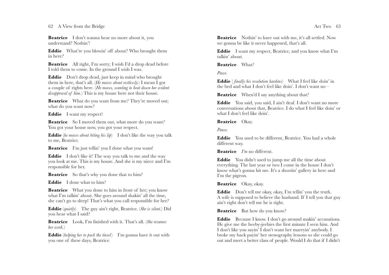**Beatrice** I don't wanna hear no more about it, you understand? Nothin'!

**Eddie** What're you blowin' off about? Who brought them in here?

**Beatrice** All right, I'm sorry; I wish I'd a drop dead before I told them to come. In the ground I wish I was.

**Eddie** Don't drop dead, just keep in mind who brought them in here, that's all. (*He moves about restlessly.*) I mean I got <sup>a</sup> couple of rights here. (*He moves, wanting to beat down her evident disapproval of him.*) This is my house here not their house.

**Beatrice** What do you want from me? They're moved out; what do you want now?

**Eddie** I want my respect!

**Beatrice** So I moved them out, what more do you want? You got your house now, you got your respect.

**Eddie** (*he moves about biting his lip*) I don't like the way you talk to me, Beatrice.

**Beatrice** I'm just tellin' you I done what you want!

**Eddie** I don't like it! The way you talk to me and the way you look at me. This is my house. And she is my niece and I'm responsible for her.

**Beatrice** So that's why you done that to him?

**Eddie** I done what to him?

**Beatrice** What you done to him in front of her; you know what I'm talkin' about. She goes around shakin' all the time, she can't go to sleep! That's what you call responsible for her?

**Eddie** (*quietly*) The guy ain't right, Beatrice. (*She is silent.*) Did you hear what I said?

**Beatrice** Look, I'm finished with it. That's all. (*She resumes her work.*)

**Eddie** (*helping her to pack the tinsel*) I'm gonna have it out with you one of these days, Beatrice.

**Beatrice** Nothin' to have out with me, it's all settled. Now we gonna be like it never happened, that's all.

**Eddie** I want my respect, Beatrice, and you know what I'm talkin' about.

**Beatrice** What?

*Pawe.* 

**Eddie** ( *finally his resolution hardens*) What I feel like doin' in the bed and what I don't feel like doin'. I don't want no –

**Beatrice** When'd I say anything about that?

**Eddie** You said, you said, I ain't deaf. I don't want no more conversations about that, Beatrice. I do what I feel like doin' or what I don't feel like doin'.

**Beatrice** Okay.

*Pause.* 

**Eddie** You used to be different, Beatrice. You had a whole different way.

**Beatrice** *I'm* no different.

**Eddie** You didn't used to jump me all the time about everything. The last year or two I come in the house I don't know what's gonna hit me. It's a shootin' gallery in here and I'm the pigeon.

**Beatrice** Okay, okay.

**Eddie** Don't tell me okay, okay, I'm tellin' you the truth. A wife is supposed to believe the husband. If I tell you that guy ain't right don't tell me he is right.

**Beatrice** But how do you know?

**Eddie** Because I know. I don't go around makin' accusations. He give me the heeby-jeebies the first minute I seen him. And I don't like you sayin' I don't want her marryin' anybody. I broke my back payin' her stenography lessons so she could go out and meet a better class of people. Would I do that if I didn't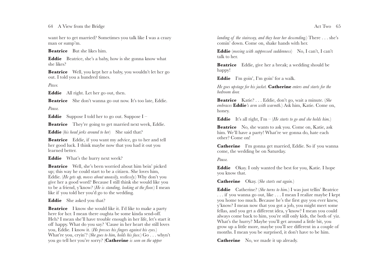want her to get married? Sometimes you talk like I was a crazy man or sump'm.

**Beatrice** But she likes him.

**Eddie** Beatrice, she's a baby, how is she gonna know what she likes?

**Beatrice** Well, you kept her a baby, you wouldn't let hcr go out. I told you a hundred times.

*Pawe.* 

**Eddie** All right. Let her go out, then.

**Beatrice** She don't wanna go out now. It's too late, Eddie.

*Pause.* 

**Eddie** Suppose I told her to go out. Suppose I –

**Beatrice** They're going to get married next week, Eddie.

**Eddie** (*his head jerks around to her*) She said that?

**Beatrice** Eddie, if you want my advice, go to her and tell her good luck. I think maybe now that you had it out you learned better.

**Eddie** What's the hurry next week?

**Beatrice** Well, she's been worried about him bein' picked up; this way he could start to be a citizen. She loves him, Eddie. (*He gets up, moves about uneasily, restlessly.*) Why don't you give her a good word? Because I still think she would like you to be a friend, y'know? (*He is standing, looking at the floor.*) I mean like if you told her you'd go to the wedding.

**Eddie** She asked you that?

**Beatrice** I know she would like it. I'd like to make a party here for hcr. I mean there oughta be some kinda send-off. Heh? I mean she'll have trouble enough in her life, let's start it off happy. What do you say? 'Cause in her heart she still loves you, Eddie. I know it. (*He presses his fingers against his eyes.*) What're you, cryin'? (*She goes to him, holds his face.*) Go . . . whyn't you go tell her you're sorry? (**Catherine** *is seen on the upper*

*landing of the stairway, and they hear her descending.*) There . . . she's comin' down. Come on, shake hands with her.

**Eddie** (*moving with suppressed suddenness*) No, I can't, I can't talk to her.

**Beatrice** Eddie, give her a break; a wedding should be happy!

**Eddie** I'm goin', I'm goin' for a walk.

*He goes upstage for his jacket.* **Catherine** *enters and starts for the bedroom door.* 

**Beatrice** Katie? . . . Eddie, don't go, wait a minute. (*She embraces* **Eddie***'s arm with warmth.*) Ask him, Katie. Come on, honey.

**Eddie** It's all right,  $\Gamma$ m – (*He starts to go and she holds him.*)

**Beatrice** No, she wants to ask you. Come on, Katie, ask him. We'll have a party! What're we gonna do, hate each other? Come on!

**Catherine** I'm gonna get married, Eddie. So if you wanna come, the wedding be on Saturday.

## *Pause.*

**Eddie** Okay. I only wanted the best for you, Katie. I hope you know that.

**Catherine** Okay. (*She starts out again.*)

**Eddie** Catherine? (*She turns to him.*) I was just tellin' Beatrice . . . if you wanna go out, like . . . I mean I realize maybe I kept you home too much. Because he's the first guy you ever knew, y'know? I mean now that you got a job, you might meet some fellas, and you get a different idea, y'know? I mean you could always come back to him, you're still only kids, the both of yiz. What's the hurry? Maybe you'll get around a little bit, you grow up a little more, maybe you'll see different in a couple of months. I mean you be surprised, it don't have to be him.

**Catherine** No, we made it up already.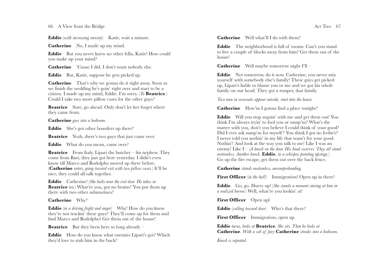**Eddie** (*with increasing anxiety*) Katie, wait a minute.

**Catherine** No, I made up my mind.

**Eddie** But you never knew no other fella, Katie! How could you make up your mind?

**Catherine** 'Cause I did. I don't want nobody else.

**Eddie** But, Katie, suppose he gets picked up.

**Catherine** That's why we gonna do it right away. Soon as we finish the wedding he's goin' right over and start to be a citizen. I made up my mind, Eddie. I'm sorry. (*To* **Beatrice***.*) Could I take two more pillow cases for the other guys?

**Beatrice** Sure, go ahead. Only don't let her forget where they came from.

**Catherine** *goes into a bedroom.* 

**Eddie** She's got other boarders up there?

**Beatrice** Yeah, there's two guys that just came over.

**Eddie** What do you mean, came over?

**Beatrice** From Italy. Lipari the butcher – his nephew. They come from Bari, they just got here yesterday. I didn't even know till Marco and Rodolpho moved up there before. (**Catherine** *enters, going toward exit with two pillow cases.*) It'll be nice, they could all talk together.

**Eddie** Catherine! (*She halts near the exit door. He takes in* **Beatrice** *too.*) What're you, got no brains? You put them up there with two other submarines?

## **Catherine** Why?

**Eddie** (*in a driving fright and anger*) Why! How do you know they're not trackin' these guys? They'll come up for them and find Marco and Rodolpho! Get them out of the house!

**Beatrice** But they been here so long already –

**Eddie** How do you know what enemies Lipari's got? Which they'd love to stab him in the back?

**Catherine** Well what'll I do with them?

**Eddie** The neighborhood is full of rooms. Can't you stand to live a couple of blocks away from him? Get them out of the house!

**Catherine** Well maybe tomorrow night I'll –

**Eddie** Not tomorrow, do it now. Catherine, you never mix yourself with somebody else's family! These guys get picked up, Lipari's liable to blame you or me and we got his whole family on our head. They got a temper, that family.

*Two men in overcoats appear outside, start into the house.* 

**Catherine** How'm I gonna find a place tonight?

**Eddie** Will you stop arguin' with me and get them out! You think I'm always tryin' to fool you or sump'm? What's the matter with you, don't you believe I could think of your good? Did I ever ask sump'm for myself? You think I got no feelin's? I never told you nothin' in my life that wasn't for your good. Nothin'! And look at the way you talk to me! Like I was an enemy! Like I – (*A knock on the door. His head swerves. They all stand motionless. Another knock.* **Eddie***, in a whisper, pointing upstage.*) Go up the fire escape, get them out over the back fence.

**Catherine** *stands motionless, uncomprehending.* 

**First Officer** (*in the hall*) Immigration! Open up in there!

**Eddie** Go, go. Hurry up! (*She stands a moment staring at him in <sup>a</sup> realized horror.*) Well, what're you lookin' at!

**First Officer** Open upl

**Eddie** (*calling toward door*) Who's that there?

**First Officer** Immigration, open up.

**Eddie** *turns, looks at* **Beatrice***. She sits. Then he looks at* **Catherine***. With a sob of fury* **Catherine** *streaks into a bedroom.* 

*Knock is repeated.*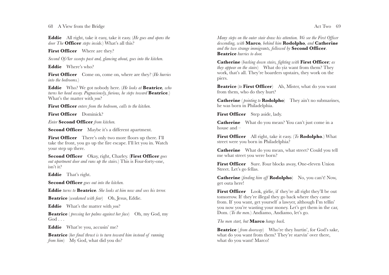**Eddie** All right, take it easy, take it easy. (*He goes and opens the door The* **Officer** *steps inside.*) What's all this?

**First Officer** Where are they?

*Second Of/ker sweeps past and, glancing about, goes into the kitchen.* 

**Eddie** Where's who?

**First Officer** Come on, come on, where are they? (*He hurries into the bedrooms.*)

**Eddie** Who? We got nobody here. (*He looks at* **Beatrice***, who turns her head away. Pugnaciously, furious, he steps toward* **Beatrice***.*) What's the matter with *you*?

**First Officer** *enters from the bedroom, calls to the kitchen.* 

**First Officer** Dominick?

*Enter* **Second Officer** *from kitchen.* 

**Second Officer** Maybe it's a different apartment.

**First Officer** There's only two more floors up there. I'll take the front, you go up the fire escape. I'll let you in. Watch your step up there.

**Second Officer** Okay, right, Charley. (**First Officer** *goes out apartment door and runs up the stairs.*) This is Four-forty-one, isn't it?

**Eddie** That's right.

**Second Officer** *goes out into the kitchen.* 

**Eddie** *turns to* **Beatrice***. She looks at him now and sees his terror.* 

**Beatrice** (*weakened with fear*) Oh, Jesus, Eddie.

**Eddie** What's the matter with *you*?

**Beatrice** (*pressing her palms against her face*) Oh, my God, my God . . .

**Eddie** What're you, accusin' me?

**Beatrice** (*her final thrust is to turn toward him instead of running from him*) My God, what did you do?

*Many steps on the outer stair draw his attention. We see the First Officer descending, with* **Marco***, behind him* **Rodolpho***, and* **Catherine** *and the two strange immigrants, followed by* **Second Officer***.* **Beatrice** *hurries to door.* 

**Catherine** (*backing down stairs, fighting with* **First Officer***; as they appear on the stairs*) What do yiz want from them? They work, that's all. They're boarders upstairs, they work on the piers.

**Beatrice** (*to* **First Officer**) Ah, Mister, what do you want from them, who do they hurt?

**Catherine** ( *pointing to* **Rodolpho**) They ain't no submarines, he was born in Philadelphia.

**First Officer** Step aside, lady.

**Catherine** What do you mean? You can't just come in a house and –

**First Officer** All right, take it easy. (*To* **Rodolpho***.*) What street were you born in Philadelphia?

**Catherine** What do you mean, what street? Could you tell me what street you were born?

**First Officer** Sure. Four blocks away, One-eleven Union Street. Let's go fellas.

**Catherine** (*fending him off* **Rodolpho**) No, you can't! Now, get outa here!

**First Officer** Look, girlie, if they're all right they'll be out tomorrow. If they're illegal they go back where they came from. If you want, get yourself a lawyer, although I'm tellin' you now you're wasting your money. Let's get them in the car, Dom. (*To the men.*) Andiamo, Andiamo, let's go.

*The men start, but* **Marco** *hangs back.* 

**Beatrice** ( *from doorway*) Who're they hurtin', for God's sake, what do you want from them? They're starvin' over there, what do you want! Marco!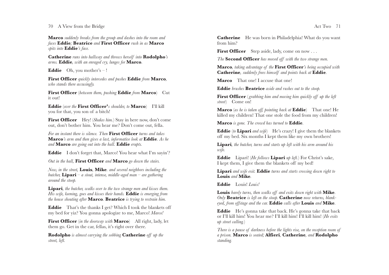**Marco** *suddenly breaks from the group and dashes into the room and faces* **Eddie***;* **Beatrice** *and* **First Officer** *rush in as* **Marco** *spits into* **Eddie***'s face.* 

**Catherine** *runs into hallway and throws herself into* **Rodolpho***'s arms.* **Eddie***, with an enraged cry, lunges for* **Marco***.* 

**Eddie** Oh, you mother's  $-!$ 

**First Officer** *quickly intercedes and pushes* **Eddie** *from* **Marco***, who stands there accusingly.* 

**First Officer** (*between them, pushing* **Eddie** *from* **Marco**) Cut it out!

**Eddie** (*over the* **First Officer'***s shoulder, to* **Marco**) I'll kill you for that, you son of a bitch!

First Officer Hey! (*Shakes him.*) Stay in here now, don't come out, don't bother him. You hear me? Don't come out, fella.

*For an instant there is silence. Then* **First Officer** *turns and takes* **Marco***'s arm and then gives a last, informative look at* **Eddie***. As he and* **Marco** *are going out into the hall.* **Eddie** *erupts.* 

**Eddie** I don't forget that, Marco! You hear what I'm sayin'?

*Out in the hall,* **First Officer** *and* **Marco** *go down the stairs.* 

*Now, in the street,* **Louis***,* **Mike***. and several neighbors including the butcher,* **Lipari**  $\bar{=}$  *a stout, intense, middle-aged man*  $\bar{=}$  *are gathering around the stoop.* 

**Lipari***, the butcher, walks over to the two strange men and kisses them. His wife, keening, goes and kisses their hands.* **Eddie** *is emerging from the house shouting after* **Marco***.* **Beatrice** *is try ing to restrain him.* 

**Eddie** That's the thanks I get? Which I took the blankets off my bed for yiz? You gonna apologize to me, Marco! *Marco!* 

**First Officer** (*in the doorway with* **Marco**) All right, lady, let them go. Get in the car, fellas, it's right over there.

**Rodolpho** *is almost carrying the sobbing* **Catherine** *off up the street, left.* 

**Catherine** He was born in Philadelphia! What do you want from him?

**First Officer** Step aside, lady, come on now . . .

*The* **Second Officer** *has moved off with the two strange men.* 

**Marco***, taking advantage of the* **First Officer***'s being occupied with* **Catherine***, suddenly frees himself and points back at* **Eddie***.* 

**Marco** That one! I accuse that one!

**Eddie** *brushes* **Beatrice** *aside and rushes out to the stoop.* 

**First Officer** (*grabbing him and moving him quickly off up the left street*) Come on!

**Marco** (*as he is taken off, pointing back at* **Eddie**) That one! He killed my children! That one stole the food from my children!

**Marco** *is gone. The crowd has turned to* **Eddie***.* 

**Eddie** (*to* **Lipari** *and wife*) He's crazy! I give them the blankets off my bed. Six months I kept them like my own brothers!

**Lipari***, the butcher, turns and starts up left with his arm around his wife.* 

**Eddie** Lipari! (*He follows* **Lipari** *up left.*) For Christ's sake, I kept them, I give them the blankets off my bed!

**Lipari** *and wife exit.* **Eddie** *turns and starts crossing down right to* **Louis** *and* **Mike***.* 

**Eddie** Louis! *Louis!* 

**Louis** *barely turns, then walks off and exits down right with* **Mike***. Only* **Beatrice** *is left on the stoop.* **Catherine** *now returns, blankeyed, from offstage and the car.* **Eddie** *calls after* **Louis** *and* **Mike***.* 

**Eddie** He's gonna take that back. He's gonna take that back or I'll kill him! You hear me? I'll kill him! I'll kill him! (*He exits up street calling.*)

*There is a pause of darkness before the lights rise, on the reception room of a prison.* **Marco** *is seated;* **Alfieri***,* **Catherine***, and* **Rodolpho** *standing.*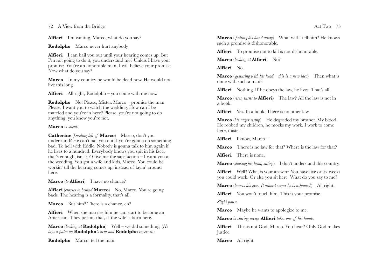**Alfieri** I'm waiting, Marco, what do you say?

**Rodolpho** Marco never hurt anybody.

**Alfieri** I can bail you out until your hearing comes up. But I'm not going to do it, you understand me? Unless I have your promise. You're an honorable man, I will believe your promise. Now what do you say?

**Marco** In my country he would be dead now. He would not live this long.

**Alfieri** All right, Rodolpho – you come with me now.

**Rodolpho** No! Please, Mister. Marco – promise the man. Please, I want you to watch the wedding. How can I be married and you're in here? Please, you're not going to do anything; you know you're not.

**Marco** *is silent.* 

**Catherine** (*kneeling left of* **Marco**) Marco, don't you understand? He can't bail you out if you're gonna do something bad. To hell with Eddie. Nobody is gonna talk to him again if he lives to a hundred. Everybody knows you spit in his face, that's enough, isn't it? Give me the satisfaction – I want you at the wedding. You got a wife and kids, Marco. You could be workin' till the hearing comes up, instead of layin' around here.

**Marco** (*to* **Alfieri**) I have no chance?

**Alfieri** (*crosses to behind* **Marco**) No, Marco. You're going back. The hearing is a formality, that's all.

**Marco** But him? There is a chance, eh?

**Alfieri** When she marries him he can start to become an American. They permit that, if the wife is born here.

**Marco** (*looking at* **Rodolpho**) Well – we did something. (*He lays a palm on* **Rodolpho***'s arm and* **Rodolpho** *covers it.*)

**Rodolpho** Marco, tell the man.

**Marco** ( *pulling his hand away*) What will I tell him? He knows such a promise is dishonorable.

**Alfieri** To promise not to kill is not dishonorable.

**Marco** (*looking at* **Alfieri**) No?

**Alfieri** No.

**Marco** (*gesturing with his head – this is a new idea*) Then what is done with such a man?'

**Alfieri** Nothing. If he obeys the law, he lives. That's all.

**Marco** (*rises, turns to* **Alfieri**) The law? All the law is not in <sup>a</sup> book.

**Alfieri** Yes. In a book. There is no other law.

**Marco** (*his anger rising*) He degraded my brother. My blood. He robbed my children, he mocks my work. I work to come here, mister!

**Alfieri** I know, Marco –

**Marco** There is no law for that? Where is the law for that?

**Alfieri** There is none.

**Marco** (*shaking his head, sitting*) I don't understand this country.

**Alfieri** Well? What is your answer? You have five or six weeks you could work. Or else you sit here. What do you say to me?

**Marco** (*lowers his eyes. It almost seems he is ashamed*) All right.

**Alfieri** You won't touch him. This is your promise.

*Slight pause.* 

**Marco** Maybe he wants to apologize to me.

**Marco** *is staring away.* **Alfieri** *takes one of his hands.* 

**Alfieri** This is not God, Marco. You hear? Only God makes justice.

**Marco** All right.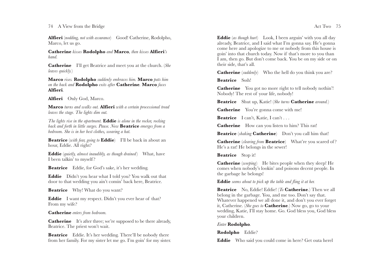**Alfieri** (*nodding, not with assurance*) Good! Catherine, Rodolpho, Marco, let us go.

**Catherine** *kisses* **Rodolpho** *and* **Marco***, then kisses* **Alfieri***'s hand.* 

**Catherine** I'll get Beatrice and meet you at the church. (*She leaves quickly.*)

**Marco** *rises.* **Rodolpho** *suddenly embraces him.* **Marco** *pats him on the back and* **Rodolpho** *exits after* **Catherine***.* **Marco** *faces* **Alfieri***.* 

**Alfieri** Only God, Marco.

**Marco** *turns and walks out.* **Alfieri** *with a certain proces sional tread leaves the stage. The lights dim out.* 

*The lights rise in the apartment.* **Eddie** *is alone in the rocker, rocking back and forth in little surges. Pause. Now* **Beatrice** *emerges from a bedroom. She is in her best clothes, wearing a hat.* 

**Beatrice** (*with fear, going to* **Eddie**) I'll be back in about an hour, Eddie. All right?

**Eddie** (*quietly, almost inaudibly, as though drained*) What, have I been talkin' to myself ?

**Beatrice** Eddie, for God's sake, it's her wedding.

**Eddie** Didn't you hear what I told you? You walk out that door to that wedding you ain't comin' back here, Beatrice.

**Beatrice** Why! What do you want?

**Eddie** I want my respect. Didn't you ever hear of that? From my wife?

**Catherine** *enters from bedroom.* 

**Catherine** It's after three; we're supposed to be there already, Beatrice. The priest won't wait.

**Beatrice** Eddie. It's her wedding. There'll be nobody there from her family. For my sister let me go. I'm goin' for my sister. **Eddie** (*as though hurt*) Look, I been arguin' with you all day already, Beatrice, and I said what I'm gonna say. He's gonna come here and apologize to me or nobody from this house is goin' into that church today. Now if that's more to you than I am, then go. But don't come back. You be on my side or on their side, that's all.

**Catherine** (*suddenly*) Who the hell do you think you are?

**Beatrice** Sssh!

**Catherine** You got no more right to tell nobody nothin'! Nobody! The rest of your life, nobody!

**Beatrice** Shut up, Katie! (*She turns* **Catherine** *around.*)

**Catherine** You're gonna come with me!

**Beatrice** I can't, Katie, I can't . . .

**Catherine** How can you listen to him? This rat!

**Beatrice** (*shaking* **Catherine**) Don't you call him that!

**Catherine** (*clearing from* **Beatrice**) What're you scared of? He's a rat! He belongs in the sewer!

**Beatrice** Stop it!

**Catherine** (*weeping*) He bites people when they sleep! He comes when nobody's lookin' and poisons decent people. In the garbage he belongs!

**Eddie** *seems about to pick up the table and fling it at her.* 

**Beatrice** No, Eddie! Eddie! (*To* **Catherine***.*) Then we all belong in the garbage. You, and me too. Don't say that. Whatever happened we all done it, and don't you ever forget it, Catherine. (*She goes to* **Catherine***.*) Now go, go to your wedding, Katie, I'll stay home. Go. God bless you, God bless your children.

*Enter* **Rodolpho***.* 

**Rodolpho** Eddie?

**Eddie** Who said you could come in here? Get outa herel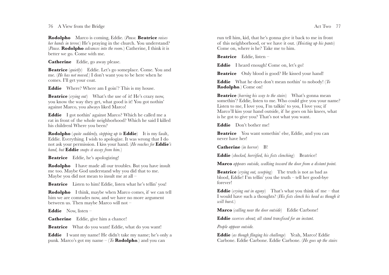**Rodolpho** Marco is coming, Eddie. (*Pause.* **Beatrice** *raises her hands in terror.*) He's praying in the church. You understand? (*Pause.* **Rodolpho** *advances into the room.*) Catherine, I think it is better we go. Come with me.

**Catherine** Eddie, go away please.

**Beatrice** (*quietly*) Eddie. Let's go someplace. Come. You and me. (*He has not moved.*) I don't want you to be here when he comes. I'll get your coat.

**Eddie** Where? Where am I goin'? This is my house.

**Beatrice** (*crying out*) What's the use of it! He's crazy now, you know the way they get, what good is it! You got nothin' against Marco, you always liked Marco!

**Eddie** I got nothin' against Marco? Which he called me a rat in front of the whole neighborhood? Which he said I killed his childrenl Where you been?

**Rodolpho** ( *quite suddenly, stepping up to* **Eddie**) It is my fault, Eddie. Everything. I wish to apologize. It was wrong that I do not ask your permission. I kiss your hand. (*He reaches for* **Eddie***'s hand, but* **Eddie** *snaps it away from him.*)

**Beatrice** Eddie, he's apologizing!

**Rodolpho** I have made all our troubles. But you have insult me too. Maybe God understand why you did that to me. Maybe you did not mean to insult me at all –

**Beatrice** Listen to him! Eddie, listen what he's tellin' you!

**Rodolpho** I think, maybe when Marco comes, if we can tell him we are comrades now, and we have no more argument between us. Then maybe Marco will not –

**Eddie** Now, listen –

**Catherine** Eddie, give him a chance!

**Beatrice** What do you want! Eddie, what do you want!

**Eddie** I want my name! He didn't take my name; he's only a punk. Marco's got my name  $-(T_0 \text{ Rodolpho})$  and you can

run tell him, kid, that he's gonna give it back to me in front of this neighborhood, or we have it out. (*Hoisting up his pants*) Come on, where is he? Take me to him.

**Beatrice** Eddie, listen –

**Eddie** I heard enough! Come on, let's go!

**Beatrice** Only blood is good? He kissed your hand!

**Eddie** What he does don't mean nothin' to nobody! (*To* **Rodolpho***.*) Come on!

**Beatrice** (*barring his way to the stairs*) What's gonna mean somethin'? Eddie, listen to me. Who could give you your name? Listen to me, I love you, I'm talkin' to you, I love you; if Marco'll kiss your hand outside, if he goes on his knees, what is he got to give you? That's not what you want.

**Eddie** Don't bother me!

**Beatrice** You want somethin' else, Eddie, and you can never have her!

**Catherine** (*in horror*) B!

**Eddie** (*shocked, horrified, his fists clenching*) Beatrice!

**Marco** *appears outside, walking toward the door from a distant point.* 

**Beatrice** (*crying out, weeping*) The truth is not as bad as blood, Eddie! I'm tellin' you the truth – tell her good-bye forever!

**Eddie** (*crying out in agony*) That's what you think of me – that I would have such a thoughts? (*His fists clench his head as though it will burst.*)

**Marco** (*calling near the door outside*) Eddie Carbone!

**Eddie** *swerves about; all stand transfixed for an instant.* 

*People appear outside.* 

**Eddie** (*as though flinging his challenge*) Yeah, Marco! Eddie Carbone. Eddie Carbone. Eddie Carbone. (*He goes up the stairs*